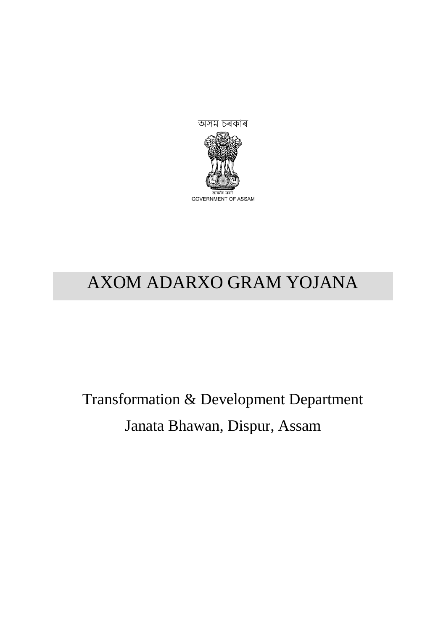

# AXOM ADARXO GRAM YOJANA

Transformation & Development Department Janata Bhawan, Dispur, Assam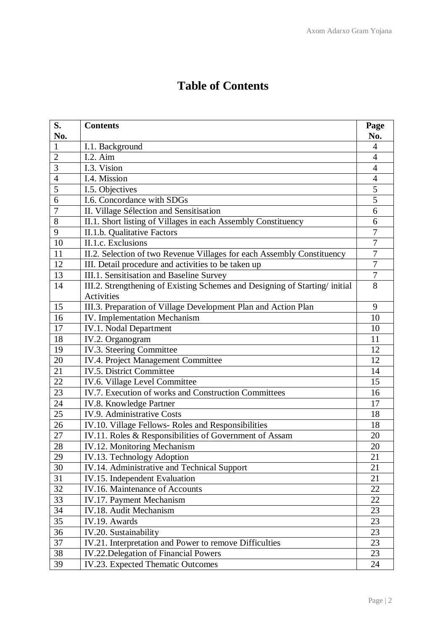|  | <b>Table of Contents</b> |
|--|--------------------------|
|--|--------------------------|

| S.              | <b>Contents</b>                                                            | Page             |
|-----------------|----------------------------------------------------------------------------|------------------|
| No.             |                                                                            | No.              |
| $\mathbf{1}$    | I.1. Background                                                            | $\overline{4}$   |
| $\overline{2}$  | $I.2.$ Aim                                                                 | $\overline{4}$   |
| 3               | I.3. Vision                                                                | 4                |
| $\overline{4}$  | I.4. Mission                                                               | $\overline{4}$   |
| 5               | I.5. Objectives                                                            | 5                |
| 6               | I.6. Concordance with SDGs                                                 | $\overline{5}$   |
| $\overline{7}$  | II. Village Sélection and Sensitisation                                    | 6                |
| 8               | II.1. Short listing of Villages in each Assembly Constituency              | 6                |
| 9               | II.1.b. Qualitative Factors                                                | $\overline{7}$   |
| 10              | II.1.c. Exclusions                                                         | 7                |
| 11              | II.2. Selection of two Revenue Villages for each Assembly Constituency     | $\overline{7}$   |
| 12              | III. Detail procedure and activities to be taken up                        | $\overline{7}$   |
| 13              | III.1. Sensitisation and Baseline Survey                                   | $\boldsymbol{7}$ |
| 14              | III.2. Strengthening of Existing Schemes and Designing of Starting/initial | 8                |
|                 | Activities                                                                 |                  |
| 15              | III.3. Preparation of Village Development Plan and Action Plan             | 9                |
| 16              | IV. Implementation Mechanism                                               | 10               |
| 17              | <b>IV.1. Nodal Department</b>                                              | 10               |
| 18              | IV.2. Organogram                                                           | 11               |
| 19              | IV.3. Steering Committee                                                   | 12               |
| 20              | IV.4. Project Management Committee                                         | 12               |
| 21              | IV.5. District Committee                                                   | 14               |
| $\overline{22}$ | IV.6. Village Level Committee                                              | 15               |
| 23              | IV.7. Execution of works and Construction Committees                       | 16               |
| 24              | IV.8. Knowledge Partner                                                    | 17               |
| 25              | <b>IV.9. Administrative Costs</b>                                          | 18               |
| 26              | IV.10. Village Fellows- Roles and Responsibilities                         | 18               |
| 27              | IV.11. Roles & Responsibilities of Government of Assam                     | 20               |
| 28              | IV.12. Monitoring Mechanism                                                | 20               |
| 29              | IV.13. Technology Adoption                                                 | 21               |
| 30              | IV.14. Administrative and Technical Support                                | 21               |
| 31              | IV.15. Independent Evaluation                                              | 21               |
| 32              | IV.16. Maintenance of Accounts                                             | 22               |
| 33              | IV.17. Payment Mechanism                                                   | 22               |
| 34              | IV.18. Audit Mechanism                                                     | 23               |
| 35              | IV.19. Awards                                                              | 23               |
| 36              | IV.20. Sustainability                                                      | 23               |
| 37              | IV.21. Interpretation and Power to remove Difficulties                     | 23               |
| 38              | <b>IV.22. Delegation of Financial Powers</b>                               | 23               |
| 39              | IV.23. Expected Thematic Outcomes                                          | 24               |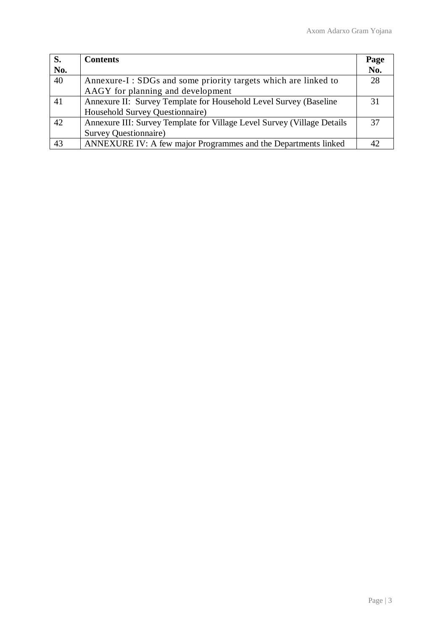| S.  | <b>Contents</b>                                                         | Page |
|-----|-------------------------------------------------------------------------|------|
| No. |                                                                         | No.  |
| 40  | Annexure-I: SDGs and some priority targets which are linked to          | 28   |
|     | AAGY for planning and development                                       |      |
| 41  | Annexure II: Survey Template for Household Level Survey (Baseline)      | 31   |
|     | Household Survey Questionnaire)                                         |      |
| 42  | Annexure III: Survey Template for Village Level Survey (Village Details | 37   |
|     | Survey Questionnaire)                                                   |      |
| 43  | ANNEXURE IV: A few major Programmes and the Departments linked          |      |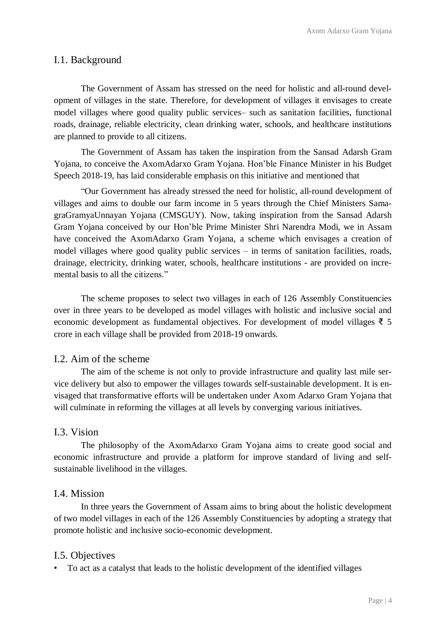#### I.1. Background

The Government of Assam has stressed on the need for holistic and all-round development of villages in the state. Therefore, for development of villages it envisages to create model villages where good quality public services– such as sanitation facilities, functional roads, drainage, reliable electricity, clean drinking water, schools, and healthcare institutions are planned to provide to all citizens.

The Government of Assam has taken the inspiration from the Sansad Adarsh Gram Yojana, to conceive the AxomAdarxo Gram Yojana. Hon'ble Finance Minister in his Budget Speech 2018-19, has laid considerable emphasis on this initiative and mentioned that

"Our Government has already stressed the need for holistic, all-round development of villages and aims to double our farm income in 5 years through the Chief Ministers SamagraGramyaUnnayan Yojana (CMSGUY). Now, taking inspiration from the Sansad Adarsh Gram Yojana conceived by our Hon'ble Prime Minister Shri Narendra Modi, we in Assam have conceived the AxomAdarxo Gram Yojana, a scheme which envisages a creation of model villages where good quality public services – in terms of sanitation facilities, roads, drainage, electricity, drinking water, schools, healthcare institutions - are provided on incremental basis to all the citizens."

The scheme proposes to select two villages in each of 126 Assembly Constituencies over in three years to be developed as model villages with holistic and inclusive social and economic development as fundamental objectives. For development of model villages ₹ 5 crore in each village shall be provided from 2018-19 onwards.

#### I.2. Aim of the scheme

The aim of the scheme is not only to provide infrastructure and quality last mile service delivery but also to empower the villages towards self-sustainable development. It is envisaged that transformative efforts will be undertaken under Axom Adarxo Gram Yojana that will culminate in reforming the villages at all levels by converging various initiatives.

#### I.3. Vision

The philosophy of the AxomAdarxo Gram Yojana aims to create good social and economic infrastructure and provide a platform for improve standard of living and selfsustainable livelihood in the villages.

#### I.4. Mission

In three years the Government of Assam aims to bring about the holistic development of two model villages in each of the 126 Assembly Constituencies by adopting a strategy that promote holistic and inclusive socio-economic development.

#### I.5. Objectives

• To act as a catalyst that leads to the holistic development of the identified villages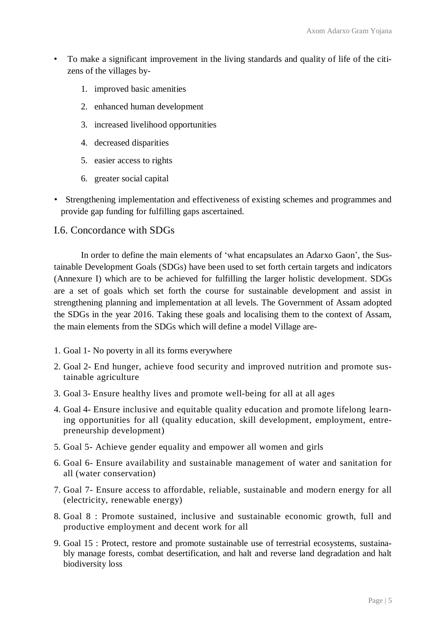- To make a significant improvement in the living standards and quality of life of the citizens of the villages by-
	- 1. improved basic amenities
	- 2. enhanced human development
	- 3. increased livelihood opportunities
	- 4. decreased disparities
	- 5. easier access to rights
	- 6. greater social capital
- Strengthening implementation and effectiveness of existing schemes and programmes and provide gap funding for fulfilling gaps ascertained.

## I.6. Concordance with SDGs

In order to define the main elements of 'what encapsulates an Adarxo Gaon', the Sustainable Development Goals (SDGs) have been used to set forth certain targets and indicators (Annexure I) which are to be achieved for fulfilling the larger holistic development. SDGs are a set of goals which set forth the course for sustainable development and assist in strengthening planning and implementation at all levels. The Government of Assam adopted the SDGs in the year 2016. Taking these goals and localising them to the context of Assam, the main elements from the SDGs which will define a model Village are-

- 1. Goal 1- No poverty in all its forms everywhere
- 2. Goal 2- End hunger, achieve food security and improved nutrition and promote sustainable agriculture
- 3. Goal 3- Ensure healthy lives and promote well-being for all at all ages
- 4. Goal 4- Ensure inclusive and equitable quality education and promote lifelong learning opportunities for all (quality education, skill development, employment, entrepreneurship development)
- 5. Goal 5- Achieve gender equality and empower all women and girls
- 6. Goal 6- Ensure availability and sustainable management of water and sanitation for all (water conservation)
- 7. Goal 7- Ensure access to affordable, reliable, sustainable and modern energy for all (electricity, renewable energy)
- 8. Goal 8 : Promote sustained, inclusive and sustainable economic growth, full and productive employment and decent work for all
- 9. Goal 15 : Protect, restore and promote sustainable use of terrestrial ecosystems, sustainably manage forests, combat desertification, and halt and reverse land degradation and halt biodiversity loss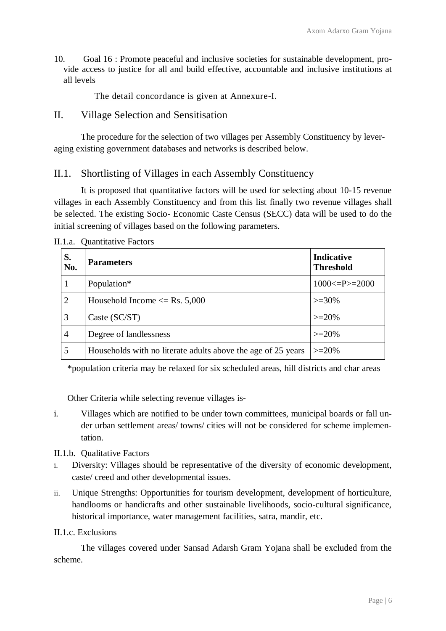10. Goal 16 : Promote peaceful and inclusive societies for sustainable development, provide access to justice for all and build effective, accountable and inclusive institutions at all levels

The detail concordance is given at Annexure-I.

II. Village Selection and Sensitisation

The procedure for the selection of two villages per Assembly Constituency by leveraging existing government databases and networks is described below.

## II.1. Shortlisting of Villages in each Assembly Constituency

It is proposed that quantitative factors will be used for selecting about 10-15 revenue villages in each Assembly Constituency and from this list finally two revenue villages shall be selected. The existing Socio- Economic Caste Census (SECC) data will be used to do the initial screening of villages based on the following parameters.

| S.<br>No. | <b>Parameters</b>                                            | <b>Indicative</b><br><b>Threshold</b> |
|-----------|--------------------------------------------------------------|---------------------------------------|
|           | Population*                                                  | $1000 \le P \ge 2000$                 |
| 2         | Household Income $\leq$ Rs. 5,000                            | $>=30\%$                              |
| 3         | Caste $(SC/ST)$                                              | $>=20%$                               |
| 4         | Degree of landlessness                                       | $>=20%$                               |
|           | Households with no literate adults above the age of 25 years | $>=20%$                               |

II.1.a. Quantitative Factors

\*population criteria may be relaxed for six scheduled areas, hill districts and char areas

Other Criteria while selecting revenue villages is-

- i. Villages which are notified to be under town committees, municipal boards or fall under urban settlement areas/ towns/ cities will not be considered for scheme implementation.
- II.1.b. Qualitative Factors
- i. Diversity: Villages should be representative of the diversity of economic development, caste/ creed and other developmental issues.
- ii. Unique Strengths: Opportunities for tourism development, development of horticulture, handlooms or handicrafts and other sustainable livelihoods, socio-cultural significance, historical importance, water management facilities, satra, mandir, etc.

#### II.1.c. Exclusions

The villages covered under Sansad Adarsh Gram Yojana shall be excluded from the scheme.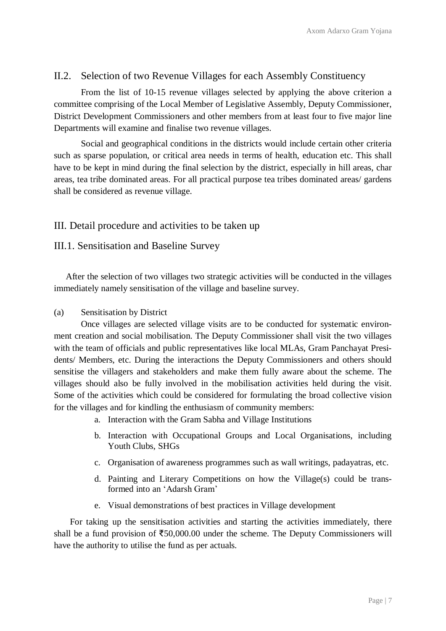## II.2. Selection of two Revenue Villages for each Assembly Constituency

From the list of 10-15 revenue villages selected by applying the above criterion a committee comprising of the Local Member of Legislative Assembly, Deputy Commissioner, District Development Commissioners and other members from at least four to five major line Departments will examine and finalise two revenue villages.

Social and geographical conditions in the districts would include certain other criteria such as sparse population, or critical area needs in terms of health, education etc. This shall have to be kept in mind during the final selection by the district, especially in hill areas, char areas, tea tribe dominated areas. For all practical purpose tea tribes dominated areas/ gardens shall be considered as revenue village.

#### III. Detail procedure and activities to be taken up

#### III.1. Sensitisation and Baseline Survey

After the selection of two villages two strategic activities will be conducted in the villages immediately namely sensitisation of the village and baseline survey.

#### (a) Sensitisation by District

Once villages are selected village visits are to be conducted for systematic environment creation and social mobilisation. The Deputy Commissioner shall visit the two villages with the team of officials and public representatives like local MLAs, Gram Panchayat Presidents/ Members, etc. During the interactions the Deputy Commissioners and others should sensitise the villagers and stakeholders and make them fully aware about the scheme. The villages should also be fully involved in the mobilisation activities held during the visit. Some of the activities which could be considered for formulating the broad collective vision for the villages and for kindling the enthusiasm of community members:

- a. Interaction with the Gram Sabha and Village Institutions
- b. Interaction with Occupational Groups and Local Organisations, including Youth Clubs, SHGs
- c. Organisation of awareness programmes such as wall writings, padayatras, etc.
- d. Painting and Literary Competitions on how the Village(s) could be transformed into an 'Adarsh Gram'
- e. Visual demonstrations of best practices in Village development

For taking up the sensitisation activities and starting the activities immediately, there shall be a fund provision of ₹50,000.00 under the scheme. The Deputy Commissioners will have the authority to utilise the fund as per actuals.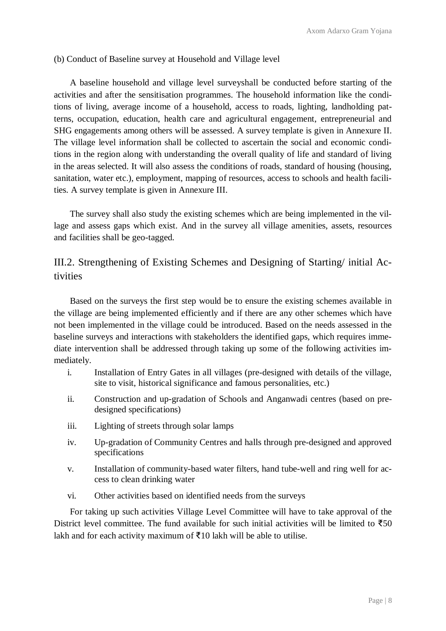#### (b) Conduct of Baseline survey at Household and Village level

A baseline household and village level surveyshall be conducted before starting of the activities and after the sensitisation programmes. The household information like the conditions of living, average income of a household, access to roads, lighting, landholding patterns, occupation, education, health care and agricultural engagement, entrepreneurial and SHG engagements among others will be assessed. A survey template is given in Annexure II. The village level information shall be collected to ascertain the social and economic conditions in the region along with understanding the overall quality of life and standard of living in the areas selected. It will also assess the conditions of roads, standard of housing (housing, sanitation, water etc.), employment, mapping of resources, access to schools and health facilities. A survey template is given in Annexure III.

The survey shall also study the existing schemes which are being implemented in the village and assess gaps which exist. And in the survey all village amenities, assets, resources and facilities shall be geo-tagged.

# III.2. Strengthening of Existing Schemes and Designing of Starting/ initial Activities

Based on the surveys the first step would be to ensure the existing schemes available in the village are being implemented efficiently and if there are any other schemes which have not been implemented in the village could be introduced. Based on the needs assessed in the baseline surveys and interactions with stakeholders the identified gaps, which requires immediate intervention shall be addressed through taking up some of the following activities immediately.

- i. Installation of Entry Gates in all villages (pre-designed with details of the village, site to visit, historical significance and famous personalities, etc.)
- ii. Construction and up-gradation of Schools and Anganwadi centres (based on predesigned specifications)
- iii. Lighting of streets through solar lamps
- iv. Up-gradation of Community Centres and halls through pre-designed and approved specifications
- v. Installation of community-based water filters, hand tube-well and ring well for access to clean drinking water
- vi. Other activities based on identified needs from the surveys

For taking up such activities Village Level Committee will have to take approval of the District level committee. The fund available for such initial activities will be limited to  $\overline{550}$ lakh and for each activity maximum of  $\bar{\mathfrak{Z}}10$  lakh will be able to utilise.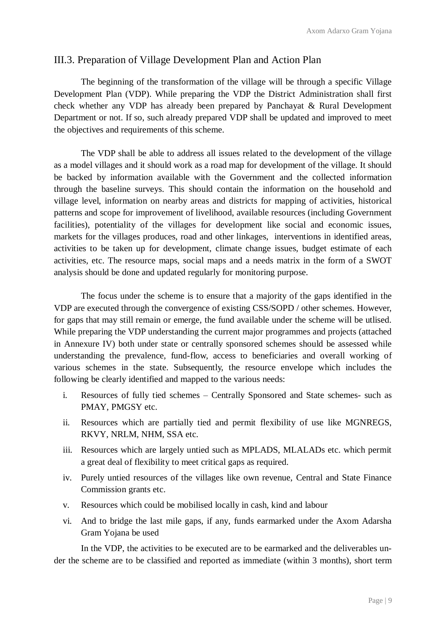## III.3. Preparation of Village Development Plan and Action Plan

The beginning of the transformation of the village will be through a specific Village Development Plan (VDP). While preparing the VDP the District Administration shall first check whether any VDP has already been prepared by Panchayat & Rural Development Department or not. If so, such already prepared VDP shall be updated and improved to meet the objectives and requirements of this scheme.

The VDP shall be able to address all issues related to the development of the village as a model villages and it should work as a road map for development of the village. It should be backed by information available with the Government and the collected information through the baseline surveys. This should contain the information on the household and village level, information on nearby areas and districts for mapping of activities, historical patterns and scope for improvement of livelihood, available resources (including Government facilities), potentiality of the villages for development like social and economic issues, markets for the villages produces, road and other linkages, interventions in identified areas, activities to be taken up for development, climate change issues, budget estimate of each activities, etc. The resource maps, social maps and a needs matrix in the form of a SWOT analysis should be done and updated regularly for monitoring purpose.

The focus under the scheme is to ensure that a majority of the gaps identified in the VDP are executed through the convergence of existing CSS/SOPD / other schemes. However, for gaps that may still remain or emerge, the fund available under the scheme will be utlised. While preparing the VDP understanding the current major programmes and projects (attached in Annexure IV) both under state or centrally sponsored schemes should be assessed while understanding the prevalence, fund-flow, access to beneficiaries and overall working of various schemes in the state. Subsequently, the resource envelope which includes the following be clearly identified and mapped to the various needs:

- i. Resources of fully tied schemes Centrally Sponsored and State schemes- such as PMAY, PMGSY etc.
- ii. Resources which are partially tied and permit flexibility of use like MGNREGS, RKVY, NRLM, NHM, SSA etc.
- iii. Resources which are largely untied such as MPLADS, MLALADs etc. which permit a great deal of flexibility to meet critical gaps as required.
- iv. Purely untied resources of the villages like own revenue, Central and State Finance Commission grants etc.
- v. Resources which could be mobilised locally in cash, kind and labour
- vi. And to bridge the last mile gaps, if any, funds earmarked under the Axom Adarsha Gram Yojana be used

In the VDP, the activities to be executed are to be earmarked and the deliverables under the scheme are to be classified and reported as immediate (within 3 months), short term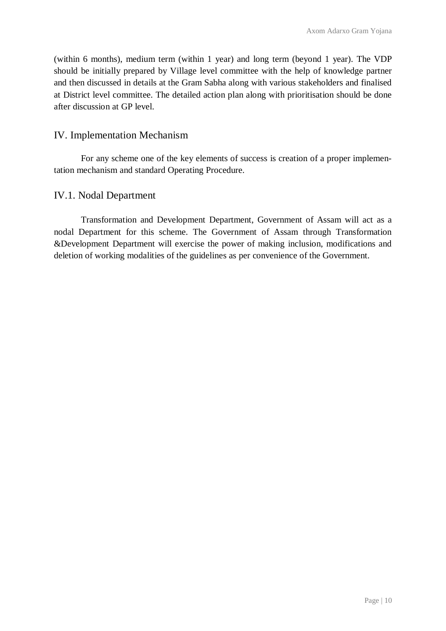(within 6 months), medium term (within 1 year) and long term (beyond 1 year). The VDP should be initially prepared by Village level committee with the help of knowledge partner and then discussed in details at the Gram Sabha along with various stakeholders and finalised at District level committee. The detailed action plan along with prioritisation should be done after discussion at GP level.

## IV. Implementation Mechanism

For any scheme one of the key elements of success is creation of a proper implementation mechanism and standard Operating Procedure.

## IV.1. Nodal Department

Transformation and Development Department, Government of Assam will act as a nodal Department for this scheme. The Government of Assam through Transformation &Development Department will exercise the power of making inclusion, modifications and deletion of working modalities of the guidelines as per convenience of the Government.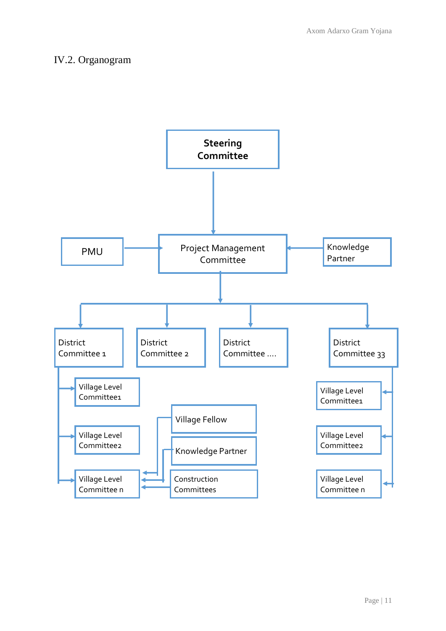## IV.2. Organogram

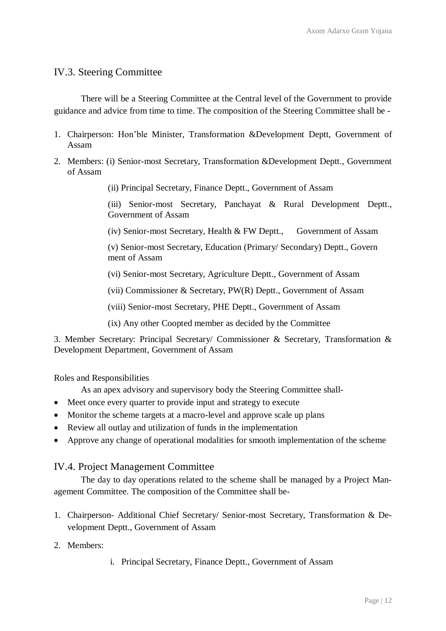## IV.3. Steering Committee

There will be a Steering Committee at the Central level of the Government to provide guidance and advice from time to time. The composition of the Steering Committee shall be -

- 1. Chairperson: Hon'ble Minister, Transformation &Development Deptt, Government of Assam
- 2. Members: (i) Senior-most Secretary, Transformation &Development Deptt., Government of Assam

(ii) Principal Secretary, Finance Deptt., Government of Assam

(iii) Senior-most Secretary, Panchayat & Rural Development Deptt., Government of Assam

(iv) Senior-most Secretary, Health & FW Deptt., Government of Assam

(v) Senior-most Secretary, Education (Primary/ Secondary) Deptt., Govern ment of Assam

(vi) Senior-most Secretary, Agriculture Deptt., Government of Assam

(vii) Commissioner & Secretary, PW(R) Deptt., Government of Assam

(viii) Senior-most Secretary, PHE Deptt., Government of Assam

(ix) Any other Coopted member as decided by the Committee

3. Member Secretary: Principal Secretary/ Commissioner & Secretary, Transformation & Development Department, Government of Assam

Roles and Responsibilities

As an apex advisory and supervisory body the Steering Committee shall-

- Meet once every quarter to provide input and strategy to execute
- Monitor the scheme targets at a macro-level and approve scale up plans
- Review all outlay and utilization of funds in the implementation
- Approve any change of operational modalities for smooth implementation of the scheme

IV.4. Project Management Committee

The day to day operations related to the scheme shall be managed by a Project Management Committee. The composition of the Committee shall be-

- 1. Chairperson- Additional Chief Secretary/ Senior-most Secretary, Transformation & Development Deptt., Government of Assam
- 2. Members:
- i. Principal Secretary, Finance Deptt., Government of Assam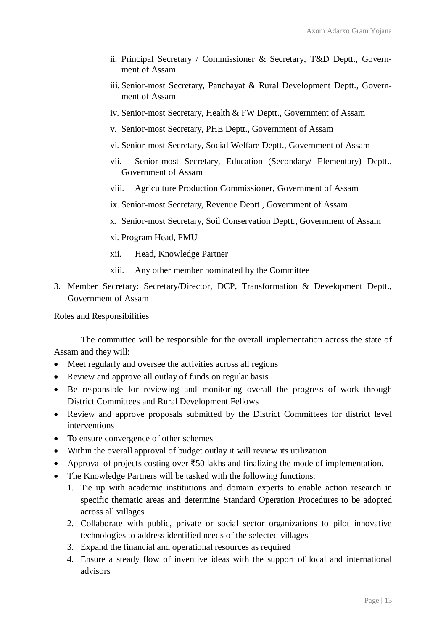- ii. Principal Secretary / Commissioner & Secretary, T&D Deptt., Government of Assam
- iii. Senior-most Secretary, Panchayat & Rural Development Deptt., Government of Assam
- iv. Senior-most Secretary, Health & FW Deptt., Government of Assam
- v. Senior-most Secretary, PHE Deptt., Government of Assam
- vi. Senior-most Secretary, Social Welfare Deptt., Government of Assam
- vii. Senior-most Secretary, Education (Secondary/ Elementary) Deptt., Government of Assam
- viii. Agriculture Production Commissioner, Government of Assam
- ix. Senior-most Secretary, Revenue Deptt., Government of Assam
- x. Senior-most Secretary, Soil Conservation Deptt., Government of Assam
- xi. Program Head, PMU
- xii. Head, Knowledge Partner
- xiii. Any other member nominated by the Committee
- 3. Member Secretary: Secretary/Director, DCP, Transformation & Development Deptt., Government of Assam

Roles and Responsibilities

The committee will be responsible for the overall implementation across the state of Assam and they will:

- Meet regularly and oversee the activities across all regions
- Review and approve all outlay of funds on regular basis
- Be responsible for reviewing and monitoring overall the progress of work through District Committees and Rural Development Fellows
- Review and approve proposals submitted by the District Committees for district level interventions
- To ensure convergence of other schemes
- Within the overall approval of budget outlay it will review its utilization
- Approval of projects costing over  $\bar{\epsilon}$ 50 lakhs and finalizing the mode of implementation.
- The Knowledge Partners will be tasked with the following functions:
	- 1. Tie up with academic institutions and domain experts to enable action research in specific thematic areas and determine Standard Operation Procedures to be adopted across all villages
	- 2. Collaborate with public, private or social sector organizations to pilot innovative technologies to address identified needs of the selected villages
	- 3. Expand the financial and operational resources as required
	- 4. Ensure a steady flow of inventive ideas with the support of local and international advisors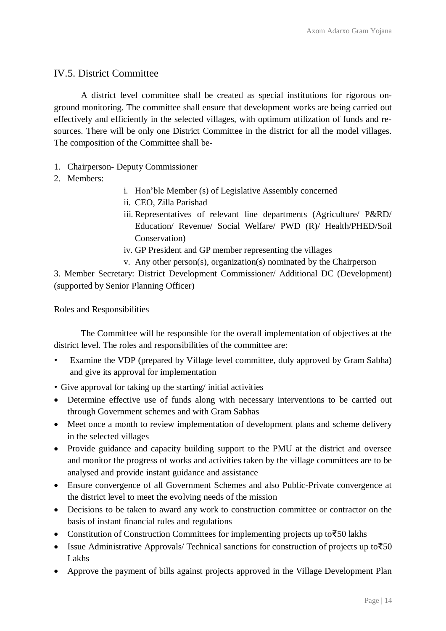## IV.5. District Committee

A district level committee shall be created as special institutions for rigorous onground monitoring. The committee shall ensure that development works are being carried out effectively and efficiently in the selected villages, with optimum utilization of funds and resources. There will be only one District Committee in the district for all the model villages. The composition of the Committee shall be-

- 1. Chairperson- Deputy Commissioner
- 2. Members:
- i. Hon'ble Member (s) of Legislative Assembly concerned
- ii. CEO, Zilla Parishad
- iii. Representatives of relevant line departments (Agriculture/ P&RD/ Education/ Revenue/ Social Welfare/ PWD (R)/ Health/PHED/Soil Conservation)
- iv. GP President and GP member representing the villages
- v. Any other person(s), organization(s) nominated by the Chairperson

3. Member Secretary: District Development Commissioner/ Additional DC (Development) (supported by Senior Planning Officer)

Roles and Responsibilities

The Committee will be responsible for the overall implementation of objectives at the district level. The roles and responsibilities of the committee are:

- Examine the VDP (prepared by Village level committee, duly approved by Gram Sabha) and give its approval for implementation
- Give approval for taking up the starting/ initial activities
- Determine effective use of funds along with necessary interventions to be carried out through Government schemes and with Gram Sabhas
- Meet once a month to review implementation of development plans and scheme delivery in the selected villages
- Provide guidance and capacity building support to the PMU at the district and oversee and monitor the progress of works and activities taken by the village committees are to be analysed and provide instant guidance and assistance
- Ensure convergence of all Government Schemes and also Public-Private convergence at the district level to meet the evolving needs of the mission
- Decisions to be taken to award any work to construction committee or contractor on the basis of instant financial rules and regulations
- Constitution of Construction Committees for implementing projects up to₹50 lakhs
- Issue Administrative Approvals/ Technical sanctions for construction of projects up to₹50 Lakhs
- Approve the payment of bills against projects approved in the Village Development Plan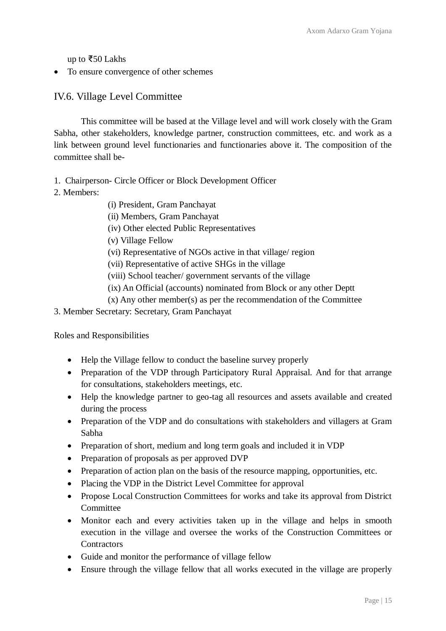up to ₹50 Lakhs

• To ensure convergence of other schemes

## IV.6. Village Level Committee

This committee will be based at the Village level and will work closely with the Gram Sabha, other stakeholders, knowledge partner, construction committees, etc. and work as a link between ground level functionaries and functionaries above it. The composition of the committee shall be-

- 1. Chairperson- Circle Officer or Block Development Officer
- 2. Members:
- (i) President, Gram Panchayat
- (ii) Members, Gram Panchayat
- (iv) Other elected Public Representatives
- (v) Village Fellow
- (vi) Representative of NGOs active in that village/ region
- (vii) Representative of active SHGs in the village
- (viii) School teacher/ government servants of the village
- (ix) An Official (accounts) nominated from Block or any other Deptt
- (x) Any other member(s) as per the recommendation of the Committee
- 3. Member Secretary: Secretary, Gram Panchayat

Roles and Responsibilities

- Help the Village fellow to conduct the baseline survey properly
- Preparation of the VDP through Participatory Rural Appraisal. And for that arrange for consultations, stakeholders meetings, etc.
- Help the knowledge partner to geo-tag all resources and assets available and created during the process
- Preparation of the VDP and do consultations with stakeholders and villagers at Gram Sabha
- Preparation of short, medium and long term goals and included it in VDP
- Preparation of proposals as per approved DVP
- Preparation of action plan on the basis of the resource mapping, opportunities, etc.
- Placing the VDP in the District Level Committee for approval
- Propose Local Construction Committees for works and take its approval from District **Committee**
- Monitor each and every activities taken up in the village and helps in smooth execution in the village and oversee the works of the Construction Committees or **Contractors**
- Guide and monitor the performance of village fellow
- Ensure through the village fellow that all works executed in the village are properly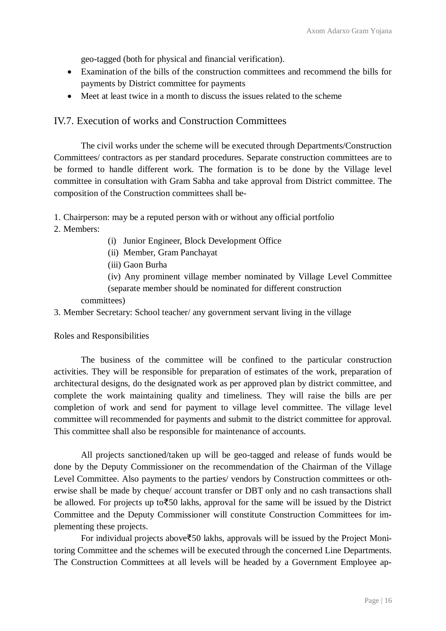geo-tagged (both for physical and financial verification).

- Examination of the bills of the construction committees and recommend the bills for payments by District committee for payments
- Meet at least twice in a month to discuss the issues related to the scheme

#### IV.7. Execution of works and Construction Committees

The civil works under the scheme will be executed through Departments/Construction Committees/ contractors as per standard procedures. Separate construction committees are to be formed to handle different work. The formation is to be done by the Village level committee in consultation with Gram Sabha and take approval from District committee. The composition of the Construction committees shall be-

- 1. Chairperson: may be a reputed person with or without any official portfolio
- 2. Members:
- (i) Junior Engineer, Block Development Office
- (ii) Member, Gram Panchayat
- (iii) Gaon Burha

(iv) Any prominent village member nominated by Village Level Committee (separate member should be nominated for different construction

committees)

3. Member Secretary: School teacher/ any government servant living in the village

Roles and Responsibilities

The business of the committee will be confined to the particular construction activities. They will be responsible for preparation of estimates of the work, preparation of architectural designs, do the designated work as per approved plan by district committee, and complete the work maintaining quality and timeliness. They will raise the bills are per completion of work and send for payment to village level committee. The village level committee will recommended for payments and submit to the district committee for approval. This committee shall also be responsible for maintenance of accounts.

All projects sanctioned/taken up will be geo-tagged and release of funds would be done by the Deputy Commissioner on the recommendation of the Chairman of the Village Level Committee. Also payments to the parties/ vendors by Construction committees or otherwise shall be made by cheque/ account transfer or DBT only and no cash transactions shall be allowed. For projects up to₹50 lakhs, approval for the same will be issued by the District Committee and the Deputy Commissioner will constitute Construction Committees for implementing these projects.

For individual projects above₹50 lakhs, approvals will be issued by the Project Monitoring Committee and the schemes will be executed through the concerned Line Departments. The Construction Committees at all levels will be headed by a Government Employee ap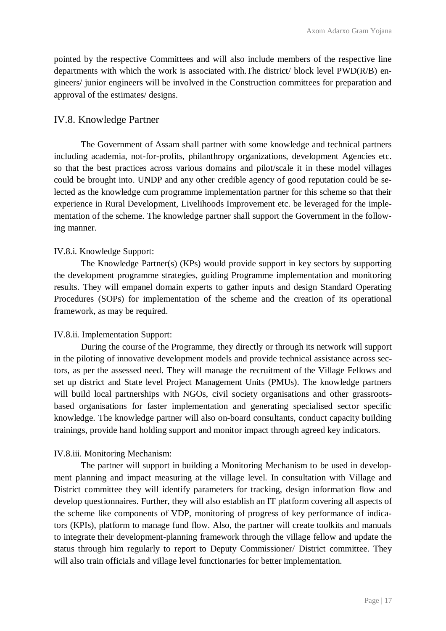pointed by the respective Committees and will also include members of the respective line departments with which the work is associated with.The district/ block level PWD(R/B) engineers/ junior engineers will be involved in the Construction committees for preparation and approval of the estimates/ designs.

#### IV.8. Knowledge Partner

The Government of Assam shall partner with some knowledge and technical partners including academia, not-for-profits, philanthropy organizations, development Agencies etc. so that the best practices across various domains and pilot/scale it in these model villages could be brought into. UNDP and any other credible agency of good reputation could be selected as the knowledge cum programme implementation partner for this scheme so that their experience in Rural Development, Livelihoods Improvement etc. be leveraged for the implementation of the scheme. The knowledge partner shall support the Government in the following manner.

#### IV.8.i. Knowledge Support:

The Knowledge Partner(s) (KPs) would provide support in key sectors by supporting the development programme strategies, guiding Programme implementation and monitoring results. They will empanel domain experts to gather inputs and design Standard Operating Procedures (SOPs) for implementation of the scheme and the creation of its operational framework, as may be required.

#### IV.8.ii. Implementation Support:

During the course of the Programme, they directly or through its network will support in the piloting of innovative development models and provide technical assistance across sectors, as per the assessed need. They will manage the recruitment of the Village Fellows and set up district and State level Project Management Units (PMUs). The knowledge partners will build local partnerships with NGOs, civil society organisations and other grassrootsbased organisations for faster implementation and generating specialised sector specific knowledge. The knowledge partner will also on-board consultants, conduct capacity building trainings, provide hand holding support and monitor impact through agreed key indicators.

#### IV.8.iii. Monitoring Mechanism:

The partner will support in building a Monitoring Mechanism to be used in development planning and impact measuring at the village level. In consultation with Village and District committee they will identify parameters for tracking, design information flow and develop questionnaires. Further, they will also establish an IT platform covering all aspects of the scheme like components of VDP, monitoring of progress of key performance of indicators (KPIs), platform to manage fund flow. Also, the partner will create toolkits and manuals to integrate their development-planning framework through the village fellow and update the status through him regularly to report to Deputy Commissioner/ District committee. They will also train officials and village level functionaries for better implementation.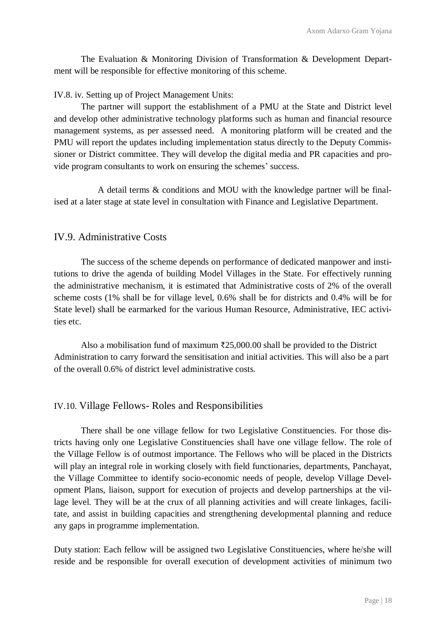The Evaluation & Monitoring Division of Transformation & Development Department will be responsible for effective monitoring of this scheme.

IV.8. iv. Setting up of Project Management Units:

The partner will support the establishment of a PMU at the State and District level and develop other administrative technology platforms such as human and financial resource management systems, as per assessed need. A monitoring platform will be created and the PMU will report the updates including implementation status directly to the Deputy Commissioner or District committee. They will develop the digital media and PR capacities and provide program consultants to work on ensuring the schemes' success.

A detail terms & conditions and MOU with the knowledge partner will be finalised at a later stage at state level in consultation with Finance and Legislative Department.

## IV.9. Administrative Costs

The success of the scheme depends on performance of dedicated manpower and institutions to drive the agenda of building Model Villages in the State. For effectively running the administrative mechanism, it is estimated that Administrative costs of 2% of the overall scheme costs (1% shall be for village level, 0.6% shall be for districts and 0.4% will be for State level) shall be earmarked for the various Human Resource, Administrative, IEC activities etc.

Also a mobilisation fund of maximum ₹25,000.00 shall be provided to the District Administration to carry forward the sensitisation and initial activities. This will also be a part of the overall 0.6% of district level administrative costs.

#### IV.10. Village Fellows- Roles and Responsibilities

There shall be one village fellow for two Legislative Constituencies. For those districts having only one Legislative Constituencies shall have one village fellow. The role of the Village Fellow is of outmost importance. The Fellows who will be placed in the Districts will play an integral role in working closely with field functionaries, departments, Panchayat, the Village Committee to identify socio-economic needs of people, develop Village Development Plans, liaison, support for execution of projects and develop partnerships at the village level. They will be at the crux of all planning activities and will create linkages, facilitate, and assist in building capacities and strengthening developmental planning and reduce any gaps in programme implementation.

Duty station: Each fellow will be assigned two Legislative Constituencies, where he/she will reside and be responsible for overall execution of development activities of minimum two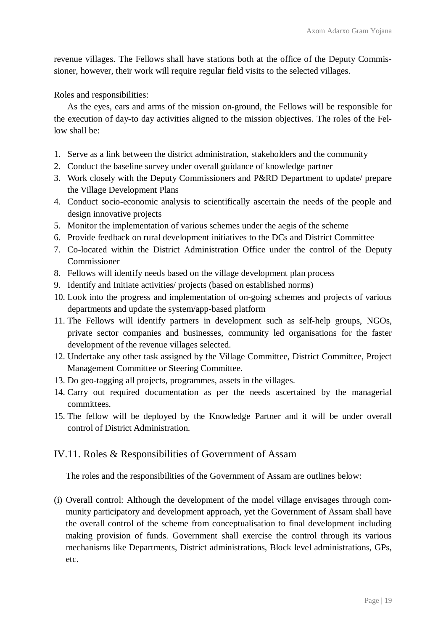revenue villages. The Fellows shall have stations both at the office of the Deputy Commissioner, however, their work will require regular field visits to the selected villages.

Roles and responsibilities:

As the eyes, ears and arms of the mission on-ground, the Fellows will be responsible for the execution of day-to day activities aligned to the mission objectives. The roles of the Fellow shall be:

- 1. Serve as a link between the district administration, stakeholders and the community
- 2. Conduct the baseline survey under overall guidance of knowledge partner
- 3. Work closely with the Deputy Commissioners and P&RD Department to update/ prepare the Village Development Plans
- 4. Conduct socio-economic analysis to scientifically ascertain the needs of the people and design innovative projects
- 5. Monitor the implementation of various schemes under the aegis of the scheme
- 6. Provide feedback on rural development initiatives to the DCs and District Committee
- 7. Co-located within the District Administration Office under the control of the Deputy Commissioner
- 8. Fellows will identify needs based on the village development plan process
- 9. Identify and Initiate activities/ projects (based on established norms)
- 10. Look into the progress and implementation of on-going schemes and projects of various departments and update the system/app-based platform
- 11. The Fellows will identify partners in development such as self-help groups, NGOs, private sector companies and businesses, community led organisations for the faster development of the revenue villages selected.
- 12. Undertake any other task assigned by the Village Committee, District Committee, Project Management Committee or Steering Committee.
- 13. Do geo-tagging all projects, programmes, assets in the villages.
- 14. Carry out required documentation as per the needs ascertained by the managerial committees.
- 15. The fellow will be deployed by the Knowledge Partner and it will be under overall control of District Administration.

#### IV.11. Roles & Responsibilities of Government of Assam

The roles and the responsibilities of the Government of Assam are outlines below:

(i) Overall control: Although the development of the model village envisages through community participatory and development approach, yet the Government of Assam shall have the overall control of the scheme from conceptualisation to final development including making provision of funds. Government shall exercise the control through its various mechanisms like Departments, District administrations, Block level administrations, GPs, etc.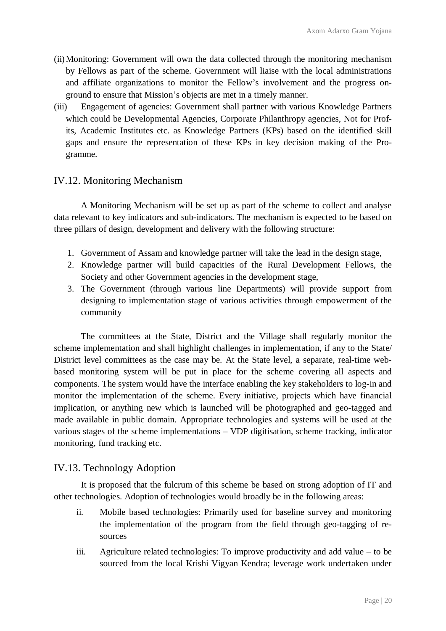- (ii)Monitoring: Government will own the data collected through the monitoring mechanism by Fellows as part of the scheme. Government will liaise with the local administrations and affiliate organizations to monitor the Fellow's involvement and the progress onground to ensure that Mission's objects are met in a timely manner.
- (iii) Engagement of agencies: Government shall partner with various Knowledge Partners which could be Developmental Agencies, Corporate Philanthropy agencies, Not for Profits, Academic Institutes etc. as Knowledge Partners (KPs) based on the identified skill gaps and ensure the representation of these KPs in key decision making of the Programme.

## IV.12. Monitoring Mechanism

A Monitoring Mechanism will be set up as part of the scheme to collect and analyse data relevant to key indicators and sub-indicators. The mechanism is expected to be based on three pillars of design, development and delivery with the following structure:

- 1. Government of Assam and knowledge partner will take the lead in the design stage,
- 2. Knowledge partner will build capacities of the Rural Development Fellows, the Society and other Government agencies in the development stage,
- 3. The Government (through various line Departments) will provide support from designing to implementation stage of various activities through empowerment of the community

The committees at the State, District and the Village shall regularly monitor the scheme implementation and shall highlight challenges in implementation, if any to the State/ District level committees as the case may be. At the State level, a separate, real-time webbased monitoring system will be put in place for the scheme covering all aspects and components. The system would have the interface enabling the key stakeholders to log-in and monitor the implementation of the scheme. Every initiative, projects which have financial implication, or anything new which is launched will be photographed and geo-tagged and made available in public domain. Appropriate technologies and systems will be used at the various stages of the scheme implementations – VDP digitisation, scheme tracking, indicator monitoring, fund tracking etc.

## IV.13. Technology Adoption

It is proposed that the fulcrum of this scheme be based on strong adoption of IT and other technologies. Adoption of technologies would broadly be in the following areas:

- ii. Mobile based technologies: Primarily used for baseline survey and monitoring the implementation of the program from the field through geo-tagging of resources
- iii. Agriculture related technologies: To improve productivity and add value to be sourced from the local Krishi Vigyan Kendra; leverage work undertaken under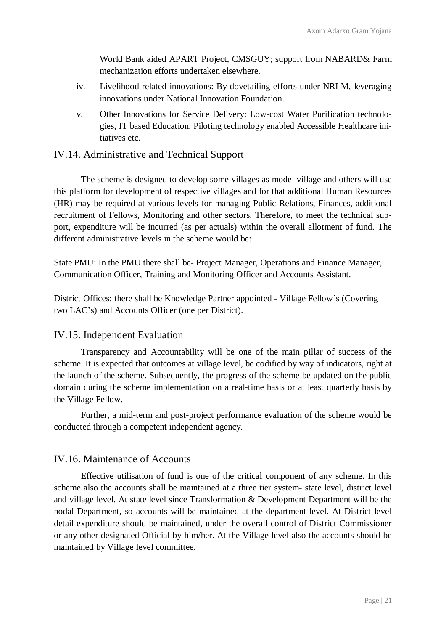World Bank aided APART Project, CMSGUY; support from NABARD& Farm mechanization efforts undertaken elsewhere.

- iv. Livelihood related innovations: By dovetailing efforts under NRLM, leveraging innovations under National Innovation Foundation.
- v. Other Innovations for Service Delivery: Low-cost Water Purification technologies, IT based Education, Piloting technology enabled Accessible Healthcare initiatives etc.

#### IV.14. Administrative and Technical Support

The scheme is designed to develop some villages as model village and others will use this platform for development of respective villages and for that additional Human Resources (HR) may be required at various levels for managing Public Relations, Finances, additional recruitment of Fellows, Monitoring and other sectors. Therefore, to meet the technical support, expenditure will be incurred (as per actuals) within the overall allotment of fund. The different administrative levels in the scheme would be:

State PMU: In the PMU there shall be- Project Manager, Operations and Finance Manager, Communication Officer, Training and Monitoring Officer and Accounts Assistant.

District Offices: there shall be Knowledge Partner appointed - Village Fellow's (Covering two LAC's) and Accounts Officer (one per District).

#### IV.15. Independent Evaluation

Transparency and Accountability will be one of the main pillar of success of the scheme. It is expected that outcomes at village level, be codified by way of indicators, right at the launch of the scheme. Subsequently, the progress of the scheme be updated on the public domain during the scheme implementation on a real-time basis or at least quarterly basis by the Village Fellow.

Further, a mid-term and post-project performance evaluation of the scheme would be conducted through a competent independent agency.

#### IV.16. Maintenance of Accounts

Effective utilisation of fund is one of the critical component of any scheme. In this scheme also the accounts shall be maintained at a three tier system- state level, district level and village level. At state level since Transformation & Development Department will be the nodal Department, so accounts will be maintained at the department level. At District level detail expenditure should be maintained, under the overall control of District Commissioner or any other designated Official by him/her. At the Village level also the accounts should be maintained by Village level committee.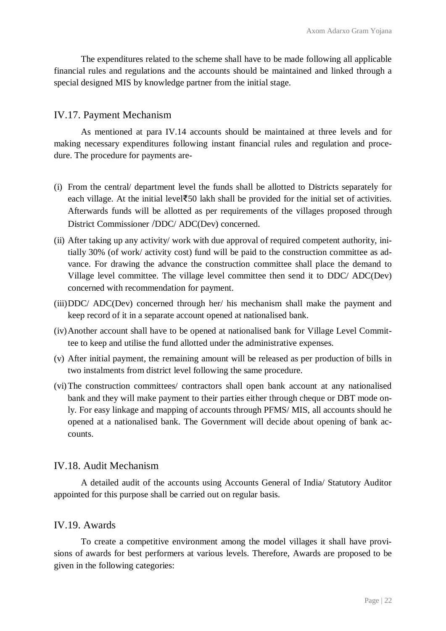The expenditures related to the scheme shall have to be made following all applicable financial rules and regulations and the accounts should be maintained and linked through a special designed MIS by knowledge partner from the initial stage.

#### IV.17. Payment Mechanism

As mentioned at para IV.14 accounts should be maintained at three levels and for making necessary expenditures following instant financial rules and regulation and procedure. The procedure for payments are-

- (i) From the central/ department level the funds shall be allotted to Districts separately for each village. At the initial level₹50 lakh shall be provided for the initial set of activities. Afterwards funds will be allotted as per requirements of the villages proposed through District Commissioner /DDC/ ADC(Dev) concerned.
- (ii) After taking up any activity/ work with due approval of required competent authority, initially 30% (of work/ activity cost) fund will be paid to the construction committee as advance. For drawing the advance the construction committee shall place the demand to Village level committee. The village level committee then send it to DDC/ ADC(Dev) concerned with recommendation for payment.
- (iii)DDC/ ADC(Dev) concerned through her/ his mechanism shall make the payment and keep record of it in a separate account opened at nationalised bank.
- (iv)Another account shall have to be opened at nationalised bank for Village Level Committee to keep and utilise the fund allotted under the administrative expenses.
- (v) After initial payment, the remaining amount will be released as per production of bills in two instalments from district level following the same procedure.
- (vi)The construction committees/ contractors shall open bank account at any nationalised bank and they will make payment to their parties either through cheque or DBT mode only. For easy linkage and mapping of accounts through PFMS/ MIS, all accounts should he opened at a nationalised bank. The Government will decide about opening of bank accounts.

#### IV.18. Audit Mechanism

A detailed audit of the accounts using Accounts General of India/ Statutory Auditor appointed for this purpose shall be carried out on regular basis.

#### IV.19. Awards

To create a competitive environment among the model villages it shall have provisions of awards for best performers at various levels. Therefore, Awards are proposed to be given in the following categories: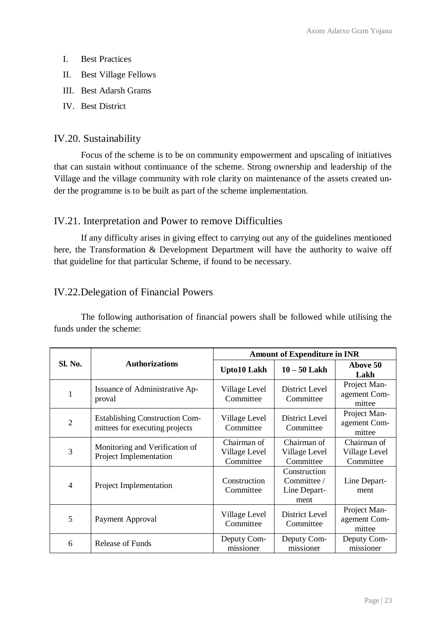- I. Best Practices
- II. Best Village Fellows
- III. Best Adarsh Grams
- IV. Best District

## IV.20. Sustainability

Focus of the scheme is to be on community empowerment and upscaling of initiatives that can sustain without continuance of the scheme. Strong ownership and leadership of the Village and the village community with role clarity on maintenance of the assets created under the programme is to be built as part of the scheme implementation.

## IV.21. Interpretation and Power to remove Difficulties

If any difficulty arises in giving effect to carrying out any of the guidelines mentioned here, the Transformation & Development Department will have the authority to waive off that guideline for that particular Scheme, if found to be necessary.

## IV.22.Delegation of Financial Powers

The following authorisation of financial powers shall be followed while utilising the funds under the scheme:

|                |                                                                         | <b>Amount of Expenditure in INR</b>       |                                                     |                                           |  |  |  |
|----------------|-------------------------------------------------------------------------|-------------------------------------------|-----------------------------------------------------|-------------------------------------------|--|--|--|
| Sl. No.        | <b>Authorizations</b>                                                   | <b>Upto10 Lakh</b>                        | $10 - 50$ Lakh                                      | Above 50<br>Lakh                          |  |  |  |
| 1              | Issuance of Administrative Ap-<br>proval                                | Village Level<br>Committee                | District Level<br>Committee                         | Project Man-<br>agement Com-<br>mittee    |  |  |  |
| $\overline{c}$ | <b>Establishing Construction Com-</b><br>mittees for executing projects | Village Level<br>Committee                | District Level<br>Committee                         | Project Man-<br>agement Com-<br>mittee    |  |  |  |
| 3              | Monitoring and Verification of<br>Project Implementation                | Chairman of<br>Village Level<br>Committee | Chairman of<br>Village Level<br>Committee           | Chairman of<br>Village Level<br>Committee |  |  |  |
| 4              | Project Implementation                                                  | Construction<br>Committee                 | Construction<br>Committee /<br>Line Depart-<br>ment | Line Depart-<br>ment                      |  |  |  |
| 5              | Payment Approval                                                        | Village Level<br>Committee                | District Level<br>Committee                         | Project Man-<br>agement Com-<br>mittee    |  |  |  |
| 6              | Release of Funds                                                        | Deputy Com-<br>missioner                  | Deputy Com-<br>missioner                            | Deputy Com-<br>missioner                  |  |  |  |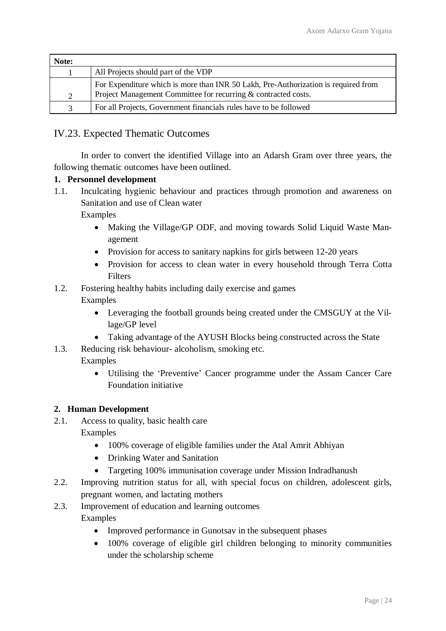| Note:         |                                                                                                                                                      |
|---------------|------------------------------------------------------------------------------------------------------------------------------------------------------|
|               | All Projects should part of the VDP                                                                                                                  |
| 2             | For Expenditure which is more than INR 50 Lakh, Pre-Authorization is required from<br>Project Management Committee for recurring & contracted costs. |
| $\mathcal{R}$ | For all Projects, Government financials rules have to be followed                                                                                    |

## IV.23. Expected Thematic Outcomes

In order to convert the identified Village into an Adarsh Gram over three years, the following thematic outcomes have been outlined.

#### **1. Personnel development**

1.1. Inculcating hygienic behaviour and practices through promotion and awareness on Sanitation and use of Clean water

Examples

- Making the Village/GP ODF, and moving towards Solid Liquid Waste Management
- Provision for access to sanitary napkins for girls between 12-20 years
- Provision for access to clean water in every household through Terra Cotta **Filters**

## 1.2. Fostering healthy habits including daily exercise and games

Examples

- Leveraging the football grounds being created under the CMSGUY at the Village/GP level
- Taking advantage of the AYUSH Blocks being constructed across the State
- 1.3. Reducing risk behaviour- alcoholism, smoking etc.
	- Examples
		- Utilising the 'Preventive' Cancer programme under the Assam Cancer Care Foundation initiative

#### **2. Human Development**

2.1. Access to quality, basic health care

Examples

- 100% coverage of eligible families under the Atal Amrit Abhiyan
- Drinking Water and Sanitation
- Targeting 100% immunisation coverage under Mission Indradhanush
- 2.2. Improving nutrition status for all, with special focus on children, adolescent girls, pregnant women, and lactating mothers
- 2.3. Improvement of education and learning outcomes Examples
	- Improved performance in Gunotsav in the subsequent phases
	- 100% coverage of eligible girl children belonging to minority communities under the scholarship scheme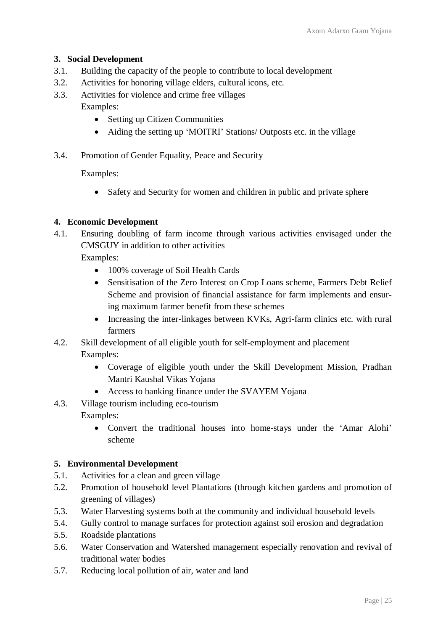#### **3. Social Development**

- 3.1. Building the capacity of the people to contribute to local development
- 3.2. Activities for honoring village elders, cultural icons, etc.
- 3.3. Activities for violence and crime free villages Examples:
	- Setting up Citizen Communities
	- Aiding the setting up 'MOITRI' Stations/ Outposts etc. in the village
- 3.4. Promotion of Gender Equality, Peace and Security

Examples:

• Safety and Security for women and children in public and private sphere

## **4. Economic Development**

4.1. Ensuring doubling of farm income through various activities envisaged under the CMSGUY in addition to other activities

Examples:

- 100% coverage of Soil Health Cards
- Sensitisation of the Zero Interest on Crop Loans scheme, Farmers Debt Relief Scheme and provision of financial assistance for farm implements and ensuring maximum farmer benefit from these schemes
- Increasing the inter-linkages between KVKs, Agri-farm clinics etc. with rural farmers
- 4.2. Skill development of all eligible youth for self-employment and placement Examples:
	- Coverage of eligible youth under the Skill Development Mission, Pradhan Mantri Kaushal Vikas Yojana
	- Access to banking finance under the SVAYEM Yojana
- 4.3. Village tourism including eco-tourism Examples:
	- Convert the traditional houses into home-stays under the 'Amar Alohi' scheme

#### **5. Environmental Development**

- 5.1. Activities for a clean and green village
- 5.2. Promotion of household level Plantations (through kitchen gardens and promotion of greening of villages)
- 5.3. Water Harvesting systems both at the community and individual household levels
- 5.4. Gully control to manage surfaces for protection against soil erosion and degradation
- 5.5. Roadside plantations
- 5.6. Water Conservation and Watershed management especially renovation and revival of traditional water bodies
- 5.7. Reducing local pollution of air, water and land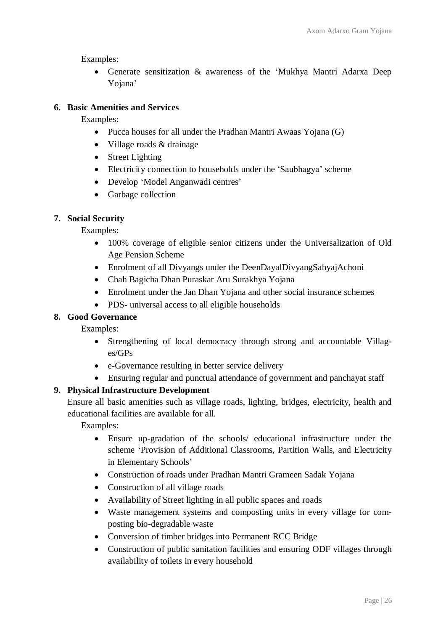Examples:

 Generate sensitization & awareness of the 'Mukhya Mantri Adarxa Deep Yojana'

## **6. Basic Amenities and Services**

Examples:

- Pucca houses for all under the Pradhan Mantri Awaas Yojana (G)
- Village roads & drainage
- Street Lighting
- Electricity connection to households under the 'Saubhagya' scheme
- Develop 'Model Anganwadi centres'
- Garbage collection

#### **7. Social Security**

Examples:

- 100% coverage of eligible senior citizens under the Universalization of Old Age Pension Scheme
- Enrolment of all Divyangs under the DeenDayalDivyangSahyajAchoni
- Chah Bagicha Dhan Puraskar Aru Surakhya Yojana
- Enrolment under the Jan Dhan Yojana and other social insurance schemes
- PDS- universal access to all eligible households

#### **8. Good Governance**

Examples:

- Strengthening of local democracy through strong and accountable Villages/GPs
- e-Governance resulting in better service delivery
- Ensuring regular and punctual attendance of government and panchayat staff

#### **9. Physical Infrastructure Development**

Ensure all basic amenities such as village roads, lighting, bridges, electricity, health and educational facilities are available for all.

Examples:

- Ensure up-gradation of the schools/ educational infrastructure under the scheme 'Provision of Additional Classrooms, Partition Walls, and Electricity in Elementary Schools'
- Construction of roads under Pradhan Mantri Grameen Sadak Yojana
- Construction of all village roads
- Availability of Street lighting in all public spaces and roads
- Waste management systems and composting units in every village for composting bio-degradable waste
- Conversion of timber bridges into Permanent RCC Bridge
- Construction of public sanitation facilities and ensuring ODF villages through availability of toilets in every household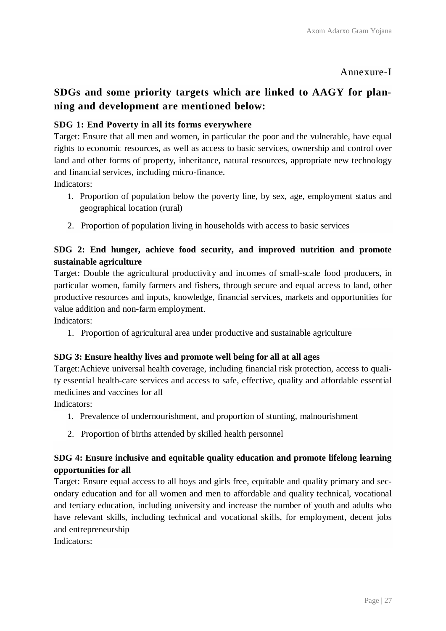## Annexure-I

# **SDGs and some priority targets which are linked to AAGY for planning and development are mentioned below:**

## **SDG 1: End Poverty in all its forms everywhere**

Target: Ensure that all men and women, in particular the poor and the vulnerable, have equal rights to economic resources, as well as access to basic services, ownership and control over land and other forms of property, inheritance, natural resources, appropriate new technology and financial services, including micro-finance.

Indicators:

- 1. Proportion of population below the poverty line, by sex, age, employment status and geographical location (rural)
- 2. Proportion of population living in households with access to basic services

## **SDG 2: End hunger, achieve food security, and improved nutrition and promote sustainable agriculture**

Target: Double the agricultural productivity and incomes of small-scale food producers, in particular women, family farmers and fishers, through secure and equal access to land, other productive resources and inputs, knowledge, financial services, markets and opportunities for value addition and non-farm employment.

Indicators:

1. Proportion of agricultural area under productive and sustainable agriculture

#### **SDG 3: Ensure healthy lives and promote well being for all at all ages**

Target:Achieve universal health coverage, including financial risk protection, access to quality essential health-care services and access to safe, effective, quality and affordable essential medicines and vaccines for all

Indicators:

- 1. Prevalence of undernourishment, and proportion of stunting, malnourishment
- 2. Proportion of births attended by skilled health personnel

## **SDG 4: Ensure inclusive and equitable quality education and promote lifelong learning opportunities for all**

Target: Ensure equal access to all boys and girls free, equitable and quality primary and secondary education and for all women and men to affordable and quality technical, vocational and tertiary education, including university and increase the number of youth and adults who have relevant skills, including technical and vocational skills, for employment, decent jobs and entrepreneurship

Indicators: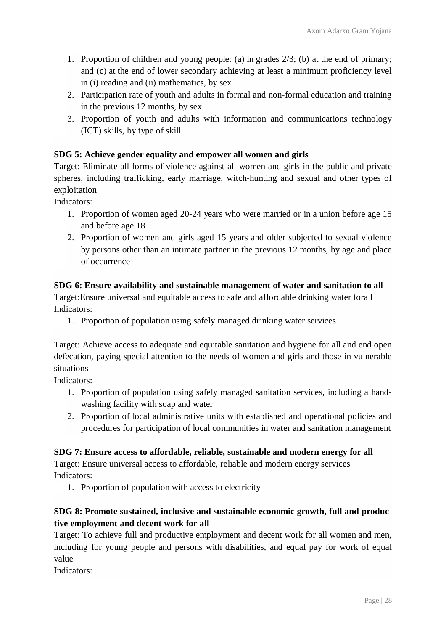- 1. Proportion of children and young people: (a) in grades 2/3; (b) at the end of primary; and (c) at the end of lower secondary achieving at least a minimum proficiency level in (i) reading and (ii) mathematics, by sex
- 2. Participation rate of youth and adults in formal and non-formal education and training in the previous 12 months, by sex
- 3. Proportion of youth and adults with information and communications technology (ICT) skills, by type of skill

## **SDG 5: Achieve gender equality and empower all women and girls**

Target: Eliminate all forms of violence against all women and girls in the public and private spheres, including trafficking, early marriage, witch-hunting and sexual and other types of exploitation

Indicators:

- 1. Proportion of women aged 20-24 years who were married or in a union before age 15 and before age 18
- 2. Proportion of women and girls aged 15 years and older subjected to sexual violence by persons other than an intimate partner in the previous 12 months, by age and place of occurrence

## **SDG 6: Ensure availability and sustainable management of water and sanitation to all**

Target:Ensure universal and equitable access to safe and affordable drinking water forall Indicators:

1. Proportion of population using safely managed drinking water services

Target: Achieve access to adequate and equitable sanitation and hygiene for all and end open defecation, paying special attention to the needs of women and girls and those in vulnerable situations

Indicators:

- 1. Proportion of population using safely managed sanitation services, including a handwashing facility with soap and water
- 2. Proportion of local administrative units with established and operational policies and procedures for participation of local communities in water and sanitation management

#### **SDG 7: Ensure access to affordable, reliable, sustainable and modern energy for all**

Target: Ensure universal access to affordable, reliable and modern energy services Indicators:

1. Proportion of population with access to electricity

## **SDG 8: Promote sustained, inclusive and sustainable economic growth, full and productive employment and decent work for all**

Target: To achieve full and productive employment and decent work for all women and men, including for young people and persons with disabilities, and equal pay for work of equal value

Indicators: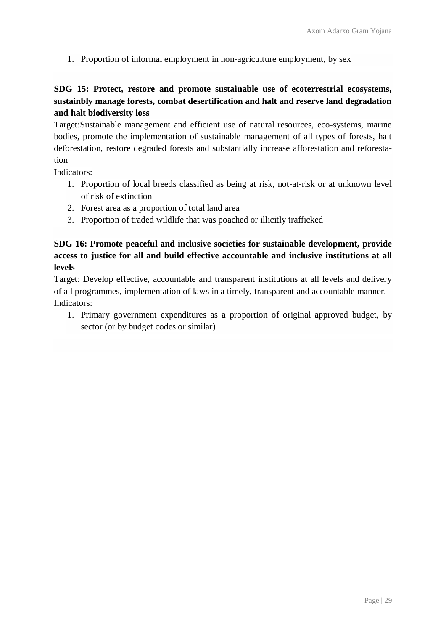1. Proportion of informal employment in non-agriculture employment, by sex

## **SDG 15: Protect, restore and promote sustainable use of ecoterrestrial ecosystems, sustainbly manage forests, combat desertification and halt and reserve land degradation and halt biodiversity loss**

Target:Sustainable management and efficient use of natural resources, eco-systems, marine bodies, promote the implementation of sustainable management of all types of forests, halt deforestation, restore degraded forests and substantially increase afforestation and reforestation

Indicators:

- 1. Proportion of local breeds classified as being at risk, not-at-risk or at unknown level of risk of extinction
- 2. Forest area as a proportion of total land area
- 3. Proportion of traded wildlife that was poached or illicitly trafficked

## **SDG 16: Promote peaceful and inclusive societies for sustainable development, provide access to justice for all and build effective accountable and inclusive institutions at all levels**

Target: Develop effective, accountable and transparent institutions at all levels and delivery of all programmes, implementation of laws in a timely, transparent and accountable manner. Indicators:

1. Primary government expenditures as a proportion of original approved budget, by sector (or by budget codes or similar)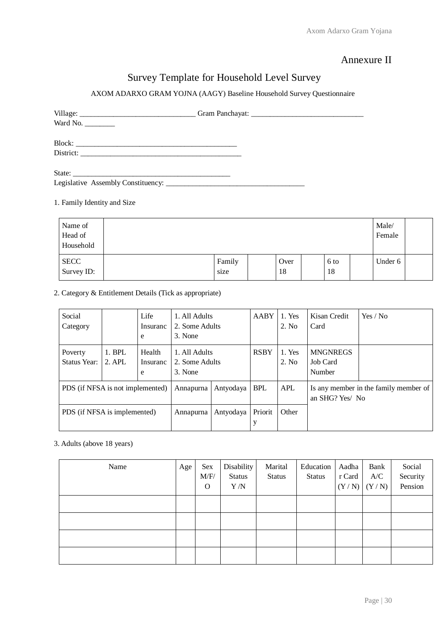## Annexure II

# Survey Template for Household Level Survey

#### AXOM ADARXO GRAM YOJNA (AAGY) Baseline Household Survey Questionnaire

| Ward No. $\frac{1}{\sqrt{1-\frac{1}{2}}\sqrt{1-\frac{1}{2}}\left(\frac{1}{2}-\frac{1}{2}\right)}$ |  |
|---------------------------------------------------------------------------------------------------|--|
|                                                                                                   |  |
|                                                                                                   |  |

#### 1. Family Identity and Size

| Name of<br>Head of<br>Household |                |            |            | Male/<br>Female |  |
|---------------------------------|----------------|------------|------------|-----------------|--|
| <b>SECC</b><br>Survey ID:       | Family<br>size | Over<br>18 | 6 to<br>18 | Under 6         |  |

#### 2. Category & Entitlement Details (Tick as appropriate)

| Social                           |          | Life      | 1. All Adults  |           | AABY        | 1. Yes     | Kisan Credit    | Yes / No                              |
|----------------------------------|----------|-----------|----------------|-----------|-------------|------------|-----------------|---------------------------------------|
| Category                         |          | Insuranc  | 2. Some Adults |           |             | 2. No.     | Card            |                                       |
|                                  |          | e         | 3. None        |           |             |            |                 |                                       |
| Poverty                          | $1.$ BPL | Health    | 1. All Adults  |           | <b>RSBY</b> | 1. Yes     | <b>MNGNREGS</b> |                                       |
| <b>Status Year:</b>              | 2. APL   | Insuranc  | 2. Some Adults |           |             | 2. No.     | Job Card        |                                       |
|                                  |          | e         | 3. None        |           |             |            | Number          |                                       |
| PDS (if NFSA is not implemented) |          |           | Annapurna      | Antyodaya | <b>BPL</b>  | <b>APL</b> | an SHG? Yes/No  | Is any member in the family member of |
|                                  |          |           |                |           |             |            |                 |                                       |
| PDS (if NFSA is implemented)     |          | Annapurna | Antyodaya      | Priorit   | Other       |            |                 |                                       |
|                                  |          |           |                |           | у           |            |                 |                                       |

#### 3. Adults (above 18 years)

| Name | Age | Sex<br>M/F/<br>$\mathbf{O}$ | Disability<br><b>Status</b><br>Y/N | Marital<br><b>Status</b> | Education<br><b>Status</b> | Aadha<br>r Card<br>(Y/N) | Bank<br>A/C<br>(Y/N) | Social<br>Security<br>Pension |
|------|-----|-----------------------------|------------------------------------|--------------------------|----------------------------|--------------------------|----------------------|-------------------------------|
|      |     |                             |                                    |                          |                            |                          |                      |                               |
|      |     |                             |                                    |                          |                            |                          |                      |                               |
|      |     |                             |                                    |                          |                            |                          |                      |                               |
|      |     |                             |                                    |                          |                            |                          |                      |                               |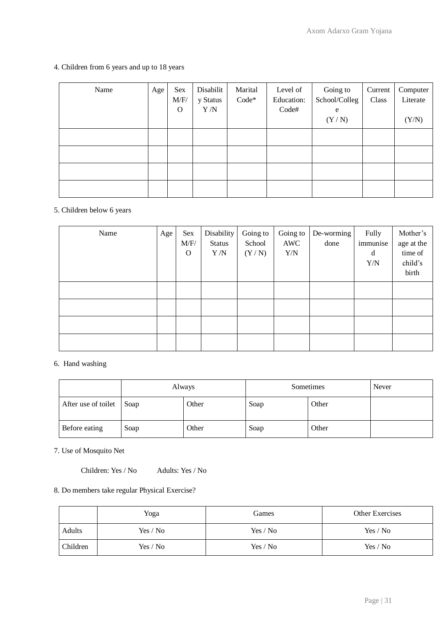#### 4. Children from 6 years and up to 18 years

| Name | Age | Sex<br>M/F/<br>$\mathbf 0$ | Disabilit<br>y Status<br>Y/N | Marital<br>$Code*$ | Level of<br>Education:<br>Code# | Going to<br>School/Colleg<br>e<br>(Y/N) | Current<br>Class | Computer<br>Literate<br>(Y/N) |
|------|-----|----------------------------|------------------------------|--------------------|---------------------------------|-----------------------------------------|------------------|-------------------------------|
|      |     |                            |                              |                    |                                 |                                         |                  |                               |
|      |     |                            |                              |                    |                                 |                                         |                  |                               |
|      |     |                            |                              |                    |                                 |                                         |                  |                               |
|      |     |                            |                              |                    |                                 |                                         |                  |                               |

#### 5. Children below 6 years

| Name | Age | Sex<br>M/F/<br>$\mathbf{O}$ | Disability<br><b>Status</b><br>$\Upsilon/N$ | Going to<br>School<br>(Y/N) | Going to<br>AWC<br>Y/N | De-worming<br>done | Fully<br>immunise<br>d<br>Y/N | Mother's<br>age at the<br>time of<br>child's<br>birth |
|------|-----|-----------------------------|---------------------------------------------|-----------------------------|------------------------|--------------------|-------------------------------|-------------------------------------------------------|
|      |     |                             |                                             |                             |                        |                    |                               |                                                       |
|      |     |                             |                                             |                             |                        |                    |                               |                                                       |
|      |     |                             |                                             |                             |                        |                    |                               |                                                       |
|      |     |                             |                                             |                             |                        |                    |                               |                                                       |

#### 6. Hand washing

|                     | Always |       | Sometimes |       | Never |
|---------------------|--------|-------|-----------|-------|-------|
| After use of toilet | Soap   | Other | Soap      | Other |       |
| Before eating       | Soap   | Other | Soap      | Other |       |

7. Use of Mosquito Net

Children: Yes / No Adults: Yes / No

#### 8. Do members take regular Physical Exercise?

|          | Yoga     | Games    | <b>Other Exercises</b> |
|----------|----------|----------|------------------------|
| Adults   | Yes / No | Yes / No | Yes / No               |
| Children | Yes / No | Yes / No | Yes / No               |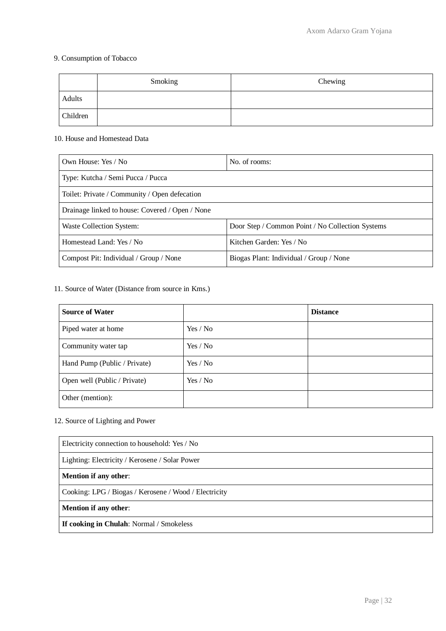#### 9. Consumption of Tobacco

|          | Smoking | Chewing |
|----------|---------|---------|
| Adults   |         |         |
| Children |         |         |

#### 10. House and Homestead Data

| Own House: Yes / No                             | No. of rooms:                                    |  |
|-------------------------------------------------|--------------------------------------------------|--|
| Type: Kutcha / Semi Pucca / Pucca               |                                                  |  |
| Toilet: Private / Community / Open defecation   |                                                  |  |
| Drainage linked to house: Covered / Open / None |                                                  |  |
| Waste Collection System:                        | Door Step / Common Point / No Collection Systems |  |
| Homestead Land: Yes / No                        | Kitchen Garden: Yes / No                         |  |
| Compost Pit: Individual / Group / None          | Biogas Plant: Individual / Group / None          |  |

#### 11. Source of Water (Distance from source in Kms.)

| <b>Source of Water</b>       |          | <b>Distance</b> |
|------------------------------|----------|-----------------|
| Piped water at home          | Yes / No |                 |
| Community water tap          | Yes / No |                 |
| Hand Pump (Public / Private) | Yes / No |                 |
| Open well (Public / Private) | Yes / No |                 |
| Other (mention):             |          |                 |

## 12. Source of Lighting and Power

| Electricity connection to household: Yes / No         |  |  |
|-------------------------------------------------------|--|--|
| Lighting: Electricity / Kerosene / Solar Power        |  |  |
| <b>Mention if any other:</b>                          |  |  |
| Cooking: LPG / Biogas / Kerosene / Wood / Electricity |  |  |
| <b>Mention if any other:</b>                          |  |  |
| <b>If cooking in Chulah:</b> Normal / Smokeless       |  |  |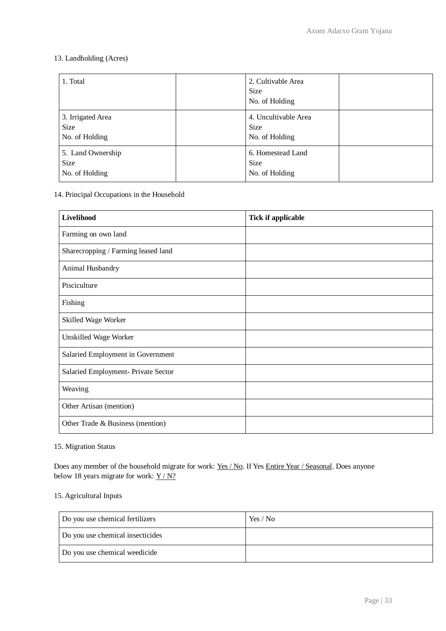#### 13. Landholding (Acres)

| 1. Total                                           | 2. Cultivable Area<br><b>Size</b><br>No. of Holding   |  |
|----------------------------------------------------|-------------------------------------------------------|--|
| 3. Irrigated Area<br><b>Size</b><br>No. of Holding | 4. Uncultivable Area<br><b>Size</b><br>No. of Holding |  |
| 5. Land Ownership<br><b>Size</b><br>No. of Holding | 6. Homestead Land<br><b>Size</b><br>No. of Holding    |  |

#### 14. Principal Occupations in the Household

| Livelihood                          | <b>Tick if applicable</b> |
|-------------------------------------|---------------------------|
| Farming on own land                 |                           |
| Sharecropping / Farming leased land |                           |
| Animal Husbandry                    |                           |
| Pisciculture                        |                           |
| Fishing                             |                           |
| Skilled Wage Worker                 |                           |
| Unskilled Wage Worker               |                           |
| Salaried Employment in Government   |                           |
| Salaried Employment- Private Sector |                           |
| Weaving                             |                           |
| Other Artisan (mention)             |                           |
| Other Trade & Business (mention)    |                           |

#### 15. Migration Status

Does any member of the household migrate for work: Yes / No. If Yes Entire Year / Seasonal. Does anyone below 18 years migrate for work:  $Y/N$ ?

#### 15. Agricultural Inputs

| Do you use chemical fertilizers  | Yes / No |
|----------------------------------|----------|
| Do you use chemical insecticides |          |
| Do you use chemical weedicide    |          |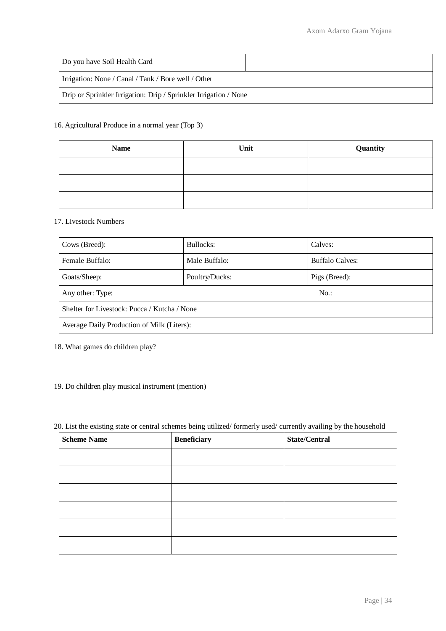| Do you have Soil Health Card                                     |  |  |
|------------------------------------------------------------------|--|--|
| Irrigation: None / Canal / Tank / Bore well / Other              |  |  |
| Drip or Sprinkler Irrigation: Drip / Sprinkler Irrigation / None |  |  |

#### 16. Agricultural Produce in a normal year (Top 3)

| <b>Name</b> | Unit | Quantity |
|-------------|------|----------|
|             |      |          |
|             |      |          |
|             |      |          |

#### 17. Livestock Numbers

| Cows (Breed):                                | Bullocks:      | Calves:                |  |
|----------------------------------------------|----------------|------------------------|--|
| Female Buffalo:                              | Male Buffalo:  | <b>Buffalo Calves:</b> |  |
| Goats/Sheep:                                 | Poultry/Ducks: | Pigs (Breed):          |  |
| Any other: Type:<br>$No.$ :                  |                |                        |  |
| Shelter for Livestock: Pucca / Kutcha / None |                |                        |  |
| Average Daily Production of Milk (Liters):   |                |                        |  |

18. What games do children play?

#### 19. Do children play musical instrument (mention)

20. List the existing state or central schemes being utilized/ formerly used/ currently availing by the household

| <b>Scheme Name</b> | <b>Beneficiary</b> | <b>State/Central</b> |
|--------------------|--------------------|----------------------|
|                    |                    |                      |
|                    |                    |                      |
|                    |                    |                      |
|                    |                    |                      |
|                    |                    |                      |
|                    |                    |                      |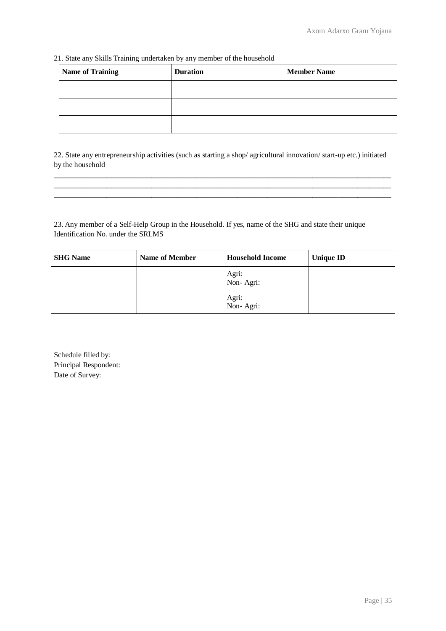21. State any Skills Training undertaken by any member of the household

| <b>Name of Training</b> | <b>Duration</b> | <b>Member Name</b> |
|-------------------------|-----------------|--------------------|
|                         |                 |                    |
|                         |                 |                    |
|                         |                 |                    |

22. State any entrepreneurship activities (such as starting a shop/ agricultural innovation/ start-up etc.) initiated by the household

 $\_$  ,  $\_$  ,  $\_$  ,  $\_$  ,  $\_$  ,  $\_$  ,  $\_$  ,  $\_$  ,  $\_$  ,  $\_$  ,  $\_$  ,  $\_$  ,  $\_$  ,  $\_$  ,  $\_$  ,  $\_$  ,  $\_$  ,  $\_$  ,  $\_$  ,  $\_$  ,  $\_$  ,  $\_$  ,  $\_$  ,  $\_$  ,  $\_$  ,  $\_$  ,  $\_$  ,  $\_$  ,  $\_$  ,  $\_$  ,  $\_$  ,  $\_$  ,  $\_$  ,  $\_$  ,  $\_$  ,  $\_$  ,  $\_$  ,  $\_$  ,  $\_$  ,  $\_$  ,  $\_$  ,  $\_$  ,  $\_$  ,  $\_$  ,  $\_$  ,  $\_$  ,  $\_$  ,  $\_$  ,  $\_$  ,  $\_$  ,  $\_$  ,  $\_$  ,  $\_$  ,  $\_$  ,  $\_$  ,  $\_$  ,  $\_$  ,  $\_$  ,  $\_$  ,  $\_$  ,  $\_$  ,  $\_$  ,  $\_$  ,  $\_$  ,  $\_$  ,  $\_$  ,  $\_$  ,  $\_$  ,  $\_$  ,  $\_$  ,  $\_$  ,  $\_$  ,  $\_$  ,  $\_$  ,  $\_$  ,  $\_$  ,  $\_$  ,  $\_$  ,  $\_$  ,  $\_$  ,  $\_$  ,  $\_$  ,  $\_$  ,  $\_$  ,  $\_$  ,  $\_$  ,  $\_$  ,  $\_$  ,  $\_$  ,  $\_$  ,  $\_$  ,  $\_$  ,  $\_$  ,  $\_$  ,  $\_$  ,  $\_$  ,  $\_$  ,  $\_$  ,  $\_$  ,  $\_$  ,  $\_$  ,  $\_$  ,  $\_$  ,  $\_$  ,  $\_$  ,  $\_$  ,  $\_$  ,  $\_$  ,  $\_$  ,  $\_$  ,  $\_$  ,

23. Any member of a Self-Help Group in the Household. If yes, name of the SHG and state their unique Identification No. under the SRLMS

| <b>SHG Name</b> | <b>Name of Member</b> | <b>Household Income</b> | <b>Unique ID</b> |
|-----------------|-----------------------|-------------------------|------------------|
|                 |                       | Agri:<br>Non-Agri:      |                  |
|                 |                       | Agri:<br>Non-Agri:      |                  |

Schedule filled by: Principal Respondent: Date of Survey: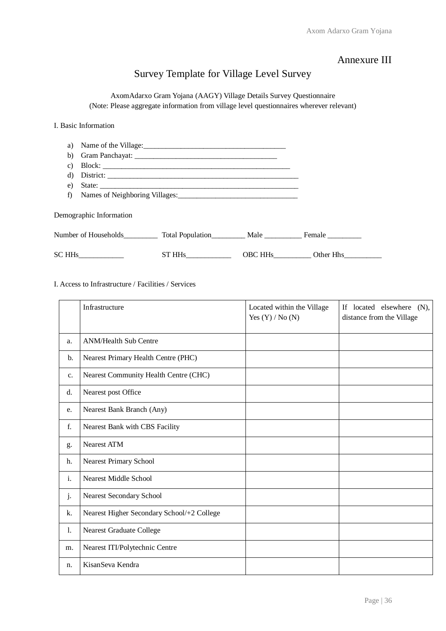## Annexure III

# Survey Template for Village Level Survey

AxomAdarxo Gram Yojana (AAGY) Village Details Survey Questionnaire (Note: Please aggregate information from village level questionnaires wherever relevant)

I. Basic Information

| a) |                                                          |        |         |           |
|----|----------------------------------------------------------|--------|---------|-----------|
| b) |                                                          |        |         |           |
| C) |                                                          |        |         |           |
| d) |                                                          |        |         |           |
| e) |                                                          |        |         |           |
| f) |                                                          |        |         |           |
|    | Demographic Information                                  |        |         |           |
|    | Number of Households Total Population Male Female Female |        |         |           |
|    | SC HHs                                                   | ST HHs | OBC HHs | Other Hhs |

I. Access to Infrastructure / Facilities / Services

|                | Infrastructure                             | Located within the Village<br>Yes $(Y) / No(N)$ | If located elsewhere (N),<br>distance from the Village |
|----------------|--------------------------------------------|-------------------------------------------------|--------------------------------------------------------|
| a.             | <b>ANM/Health Sub Centre</b>               |                                                 |                                                        |
| b.             | Nearest Primary Health Centre (PHC)        |                                                 |                                                        |
| c.             | Nearest Community Health Centre (CHC)      |                                                 |                                                        |
| d.             | Nearest post Office                        |                                                 |                                                        |
| e.             | Nearest Bank Branch (Any)                  |                                                 |                                                        |
| f.             | Nearest Bank with CBS Facility             |                                                 |                                                        |
| g.             | <b>Nearest ATM</b>                         |                                                 |                                                        |
| h.             | Nearest Primary School                     |                                                 |                                                        |
| i.             | <b>Nearest Middle School</b>               |                                                 |                                                        |
| j.             | Nearest Secondary School                   |                                                 |                                                        |
| k.             | Nearest Higher Secondary School/+2 College |                                                 |                                                        |
| $\mathbf{l}$ . | Nearest Graduate College                   |                                                 |                                                        |
| m.             | Nearest ITI/Polytechnic Centre             |                                                 |                                                        |
| n.             | KisanSeva Kendra                           |                                                 |                                                        |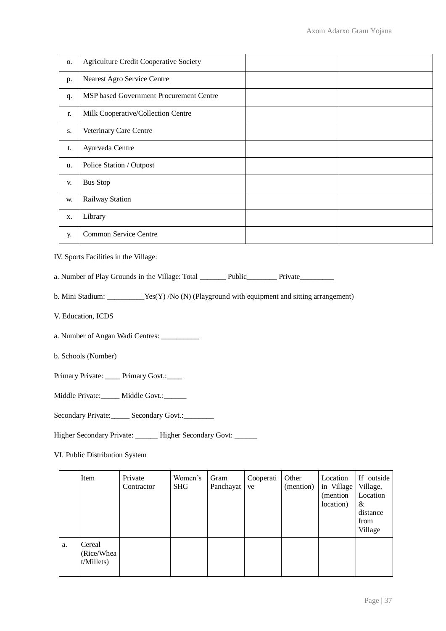| O. | <b>Agriculture Credit Cooperative Society</b> |  |
|----|-----------------------------------------------|--|
| p. | Nearest Agro Service Centre                   |  |
| q. | MSP based Government Procurement Centre       |  |
| r. | Milk Cooperative/Collection Centre            |  |
| S. | Veterinary Care Centre                        |  |
| t. | Ayurveda Centre                               |  |
| u. | Police Station / Outpost                      |  |
| V. | <b>Bus Stop</b>                               |  |
| W. | Railway Station                               |  |
| X. | Library                                       |  |
| у. | Common Service Centre                         |  |

IV. Sports Facilities in the Village:

a. Number of Play Grounds in the Village: Total \_\_\_\_\_\_\_\_ Public\_\_\_\_\_\_\_\_ Private\_\_\_\_\_\_\_\_

b. Mini Stadium: \_\_\_\_\_\_\_\_\_\_Yes(Y) /No (N) (Playground with equipment and sitting arrangement)

V. Education, ICDS

a. Number of Angan Wadi Centres: \_\_\_\_\_\_\_\_\_\_

b. Schools (Number)

Primary Private: \_\_\_\_ Primary Govt.: \_\_\_

Middle Private: \_\_\_\_\_ Middle Govt.: \_\_\_\_\_

Secondary Private:\_\_\_\_\_ Secondary Govt.:\_\_\_\_\_\_\_

Higher Secondary Private: \_\_\_\_\_\_ Higher Secondary Govt: \_\_\_\_\_

VI. Public Distribution System

|    | Item                               | Private<br>Contractor | Women's<br><b>SHG</b> | Gram<br>Panchayat | Cooperati<br>ve | Other<br>(mention) | Location<br>in Village<br>(mention)<br>location) | If outside<br>Village,<br>Location<br>&<br>distance<br>from<br>Village |
|----|------------------------------------|-----------------------|-----------------------|-------------------|-----------------|--------------------|--------------------------------------------------|------------------------------------------------------------------------|
| a. | Cereal<br>(Rice/Whea<br>t/Millets) |                       |                       |                   |                 |                    |                                                  |                                                                        |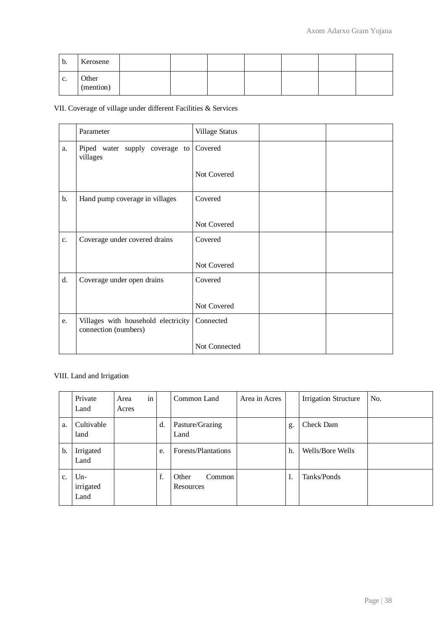| b. | Kerosene           |  |  |  |  |
|----|--------------------|--|--|--|--|
| c. | Other<br>(mention) |  |  |  |  |

VII. Coverage of village under different Facilities & Services

|       | Parameter                                                   | Village Status |  |
|-------|-------------------------------------------------------------|----------------|--|
| a.    | Piped water supply coverage to Covered<br>villages          |                |  |
|       |                                                             | Not Covered    |  |
| $b$ . | Hand pump coverage in villages                              | Covered        |  |
|       |                                                             | Not Covered    |  |
| c.    | Coverage under covered drains                               | Covered        |  |
|       |                                                             | Not Covered    |  |
| d.    | Coverage under open drains                                  | Covered        |  |
|       |                                                             | Not Covered    |  |
| e.    | Villages with household electricity<br>connection (numbers) | Connected      |  |
|       |                                                             | Not Connected  |  |

## VIII. Land and Irrigation

|    | Private<br>Land            | Area<br>Acres | in |    | Common Land                  | Area in Acres |    | <b>Irrigation Structure</b> | No. |
|----|----------------------------|---------------|----|----|------------------------------|---------------|----|-----------------------------|-----|
| a. | Cultivable<br>land         |               |    | d. | Pasture/Grazing<br>Land      |               | g. | Check Dam                   |     |
| b. | Irrigated<br>Land          |               |    | e. | Forests/Plantations          |               | h. | Wells/Bore Wells            |     |
| c. | $Un-$<br>irrigated<br>Land |               |    | f. | Other<br>Common<br>Resources |               | I. | Tanks/Ponds                 |     |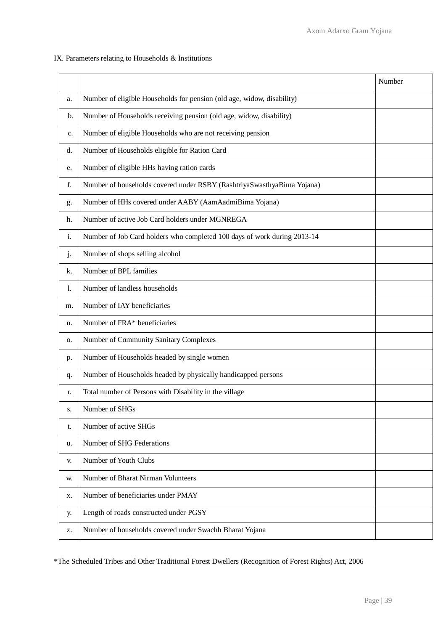#### IX. Parameters relating to Households & Institutions

|                |                                                                          | Number |  |  |  |
|----------------|--------------------------------------------------------------------------|--------|--|--|--|
| a.             | Number of eligible Households for pension (old age, widow, disability)   |        |  |  |  |
| b.             | Number of Households receiving pension (old age, widow, disability)      |        |  |  |  |
| c.             | Number of eligible Households who are not receiving pension              |        |  |  |  |
| d.             | Number of Households eligible for Ration Card                            |        |  |  |  |
| e.             | Number of eligible HHs having ration cards                               |        |  |  |  |
| f.             | Number of households covered under RSBY (RashtriyaSwasthyaBima Yojana)   |        |  |  |  |
| g.             | Number of HHs covered under AABY (AamAadmiBima Yojana)                   |        |  |  |  |
| h.             | Number of active Job Card holders under MGNREGA                          |        |  |  |  |
| $\mathbf{i}$ . | Number of Job Card holders who completed 100 days of work during 2013-14 |        |  |  |  |
| j.             | Number of shops selling alcohol                                          |        |  |  |  |
| k.             | Number of BPL families                                                   |        |  |  |  |
| 1.             | Number of landless households                                            |        |  |  |  |
| m.             | Number of IAY beneficiaries                                              |        |  |  |  |
| n.             | Number of FRA* beneficiaries                                             |        |  |  |  |
| О.             | Number of Community Sanitary Complexes                                   |        |  |  |  |
| p.             | Number of Households headed by single women                              |        |  |  |  |
| q.             | Number of Households headed by physically handicapped persons            |        |  |  |  |
| r.             | Total number of Persons with Disability in the village                   |        |  |  |  |
| s.             | Number of SHGs                                                           |        |  |  |  |
| t.             | Number of active SHGs                                                    |        |  |  |  |
| u.             | Number of SHG Federations                                                |        |  |  |  |
| V.             | Number of Youth Clubs                                                    |        |  |  |  |
| W.             | Number of Bharat Nirman Volunteers                                       |        |  |  |  |
| X.             | Number of beneficiaries under PMAY                                       |        |  |  |  |
| у.             | Length of roads constructed under PGSY                                   |        |  |  |  |
| z.             | Number of households covered under Swachh Bharat Yojana                  |        |  |  |  |

\*The Scheduled Tribes and Other Traditional Forest Dwellers (Recognition of Forest Rights) Act, 2006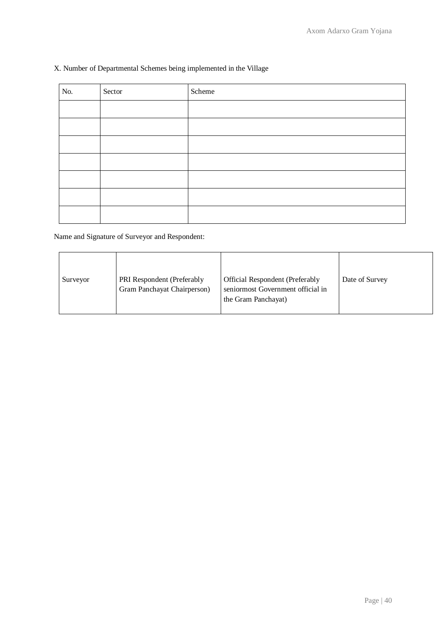#### X. Number of Departmental Schemes being implemented in the Village

| No. | Sector | Scheme |
|-----|--------|--------|
|     |        |        |
|     |        |        |
|     |        |        |
|     |        |        |
|     |        |        |
|     |        |        |
|     |        |        |

Name and Signature of Surveyor and Respondent:

| Surveyor | PRI Respondent (Preferably<br>Gram Panchayat Chairperson) | Official Respondent (Preferably<br>seniormost Government official in<br>the Gram Panchayat) | Date of Survey |
|----------|-----------------------------------------------------------|---------------------------------------------------------------------------------------------|----------------|
|----------|-----------------------------------------------------------|---------------------------------------------------------------------------------------------|----------------|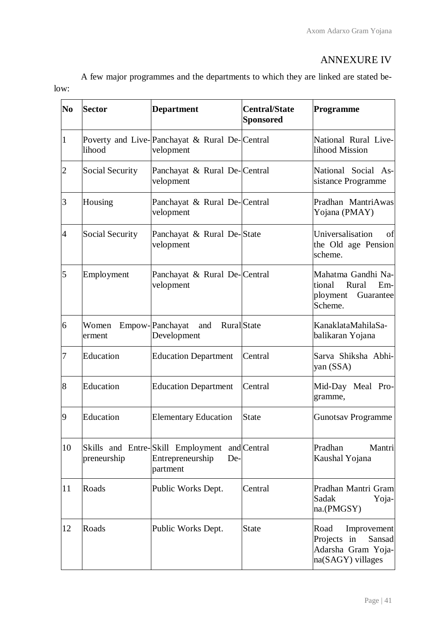# ANNEXURE IV

A few major programmes and the departments to which they are linked are stated below:

| N <sub>0</sub> | <b>Sector</b>   | <b>Department</b>                                                        | <b>Central/State</b><br><b>Sponsored</b> | <b>Programme</b>                                                                        |
|----------------|-----------------|--------------------------------------------------------------------------|------------------------------------------|-----------------------------------------------------------------------------------------|
| 1              | lihood          | Poverty and Live- Panchayat & Rural De- Central<br>velopment             |                                          | National Rural Live-<br>lihood Mission                                                  |
| $\overline{2}$ | Social Security | Panchayat & Rural De-Central<br>velopment                                |                                          | National Social As-<br>sistance Programme                                               |
| 3              | Housing         | Panchayat & Rural De-Central<br>velopment                                |                                          | Pradhan MantriAwas<br>Yojana (PMAY)                                                     |
| $\overline{4}$ | Social Security | Panchayat & Rural De-State<br>velopment                                  |                                          | Universalisation<br>of<br>the Old age Pension<br>scheme.                                |
| 5              | Employment      | Panchayat & Rural De-Central<br>velopment                                |                                          | Mahatma Gandhi Na-<br>tional<br>Rural<br>$Em-$<br>ployment Guarantee<br>Scheme.         |
| 6              | Women<br>erment | Empow-Panchayat<br>and<br><b>Rural</b> State<br>Development              |                                          | KanaklataMahilaSa-<br>balikaran Yojana                                                  |
| 7              | Education       | <b>Education Department</b>                                              | Central                                  | Sarva Shiksha Abhi-<br>yan (SSA)                                                        |
| 8              | Education       | <b>Education Department</b>                                              | Central                                  | Mid-Day Meal Pro-<br>gramme,                                                            |
| 9              | Education       | <b>Elementary Education</b>                                              | State                                    | <b>Gunotsav Programme</b>                                                               |
| 10             | preneurship     | Skills and Entre-Skill Employment<br>Entrepreneurship<br>De-<br>partment | and Central                              | Pradhan<br>Mantri<br>Kaushal Yojana                                                     |
| 11             | Roads           | Public Works Dept.                                                       | Central                                  | Pradhan Mantri Gram<br>Sadak<br>Yoja-<br>na.(PMGSY)                                     |
| 12             | Roads           | Public Works Dept.                                                       | <b>State</b>                             | Improvement<br>Road<br>Projects in<br>Sansad<br>Adarsha Gram Yoja-<br>na(SAGY) villages |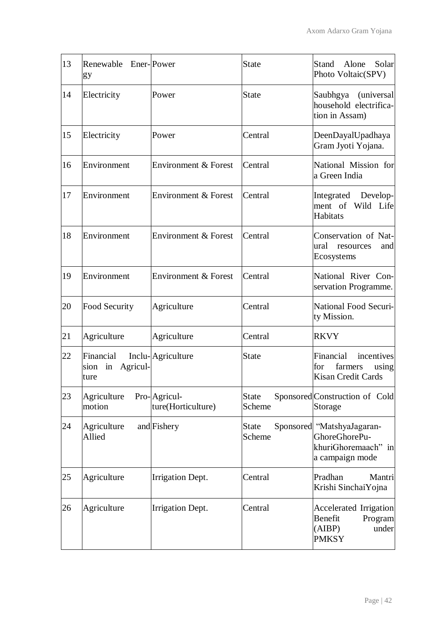| 13 | Renewable Ener-Power<br>gy                  |                                    | <b>State</b>           | <b>Stand</b><br>Alone<br>Solar<br>Photo Voltaic(SPV)                                  |
|----|---------------------------------------------|------------------------------------|------------------------|---------------------------------------------------------------------------------------|
| 14 | Electricity                                 | Power                              | <b>State</b>           | Saubhgya<br>(universal<br>household electrifica-<br>tion in Assam)                    |
| 15 | Electricity                                 | Power                              | Central                | DeenDayalUpadhaya<br>Gram Jyoti Yojana.                                               |
| 16 | Environment                                 | <b>Environment &amp; Forest</b>    | Central                | National Mission for<br>a Green India                                                 |
| 17 | Environment                                 | Environment & Forest               | Central                | Develop-<br>Integrated<br>ment of Wild Life<br><b>Habitats</b>                        |
| 18 | Environment                                 | <b>Environment &amp; Forest</b>    | Central                | Conservation of Nat-<br>ural<br>resources<br>and<br>Ecosystems                        |
| 19 | Environment                                 | Environment & Forest               | Central                | National River Con-<br>servation Programme.                                           |
| 20 | Food Security                               | Agriculture                        | Central                | National Food Securi-<br>ty Mission.                                                  |
| 21 | Agriculture                                 | Agriculture                        | Central                | <b>RKVY</b>                                                                           |
| 22 | Financial<br>Agricul-<br>sion<br>in<br>ture | Inclu-Agriculture                  | <b>State</b>           | Financial<br>incentives<br>farmers<br>for<br>using<br><b>Kisan Credit Cards</b>       |
| 23 | Agriculture<br>motion                       | Pro-Agricul-<br>ture(Horticulture) | <b>State</b><br>Scheme | Sponsored Construction of Cold<br>Storage                                             |
| 24 | Agriculture<br>Allied                       | and Fishery                        | <b>State</b><br>Scheme | Sponsored "MatshyaJagaran-<br>GhoreGhorePu-<br>khuriGhoremaach" in<br>a campaign mode |
| 25 | Agriculture                                 | <b>Irrigation Dept.</b>            | Central                | Pradhan<br>Mantri<br>Krishi SinchaiYojna                                              |
| 26 | Agriculture                                 | <b>Irrigation Dept.</b>            | Central                | Accelerated Irrigation<br>Benefit<br>Program<br>(AIBP)<br>under<br><b>PMKSY</b>       |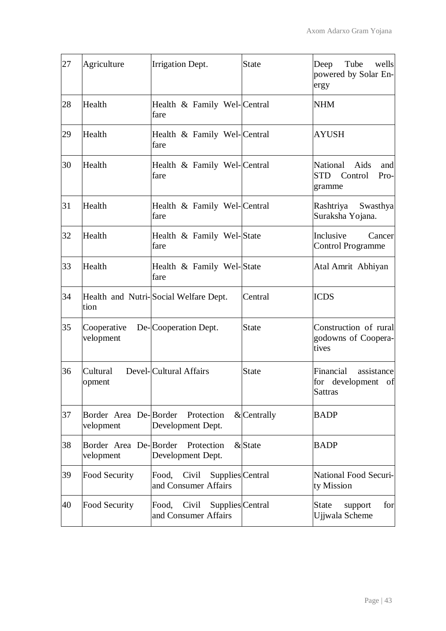| 27 | Agriculture                        | Irrigation Dept.                                           | <b>State</b>  | Tube<br>Deep<br>wells<br>powered by Solar En-<br>ergy              |
|----|------------------------------------|------------------------------------------------------------|---------------|--------------------------------------------------------------------|
| 28 | Health                             | Health & Family Wel-Central<br>fare                        |               | <b>NHM</b>                                                         |
| 29 | Health                             | Health & Family Wel-Central<br>fare                        |               | <b>AYUSH</b>                                                       |
| 30 | Health                             | Health & Family Wel-Central<br>fare                        |               | Aids<br>National<br>and<br><b>STD</b><br>Control<br>Pro-<br>gramme |
| 31 | Health                             | Health & Family Wel-Central<br>fare                        |               | Rashtriya<br>Swasthya<br>Suraksha Yojana.                          |
| 32 | Health                             | Health & Family Wel-State<br>fare                          |               | Inclusive<br>Cancer<br><b>Control Programme</b>                    |
| 33 | Health                             | Health & Family Wel-State<br>fare                          |               | Atal Amrit Abhiyan                                                 |
| 34 | tion                               | Health and Nutri-Social Welfare Dept.                      | Central       | <b>ICDS</b>                                                        |
| 35 | Cooperative<br>velopment           | De-Cooperation Dept.                                       | <b>State</b>  | Construction of rural<br>godowns of Coopera-<br>tives              |
| 36 | Cultural<br>opment                 | Devel-Cultural Affairs                                     | <b>State</b>  | Financial<br>assistance<br>for development of<br><b>Sattras</b>    |
| 37 | Border Area De-Border<br>velopment | Protection<br>Development Dept.                            | $&$ Centrally | <b>BADP</b>                                                        |
| 38 | Border Area De-Border<br>velopment | Protection<br>Development Dept.                            | & State       | <b>BADP</b>                                                        |
| 39 | Food Security                      | Civil<br>Supplies Central<br>Food,<br>and Consumer Affairs |               | <b>National Food Securi-</b><br>ty Mission                         |
| 40 | Food Security                      | Supplies Central<br>Food,<br>Civil<br>and Consumer Affairs |               | for<br><b>State</b><br>support<br>Ujjwala Scheme                   |